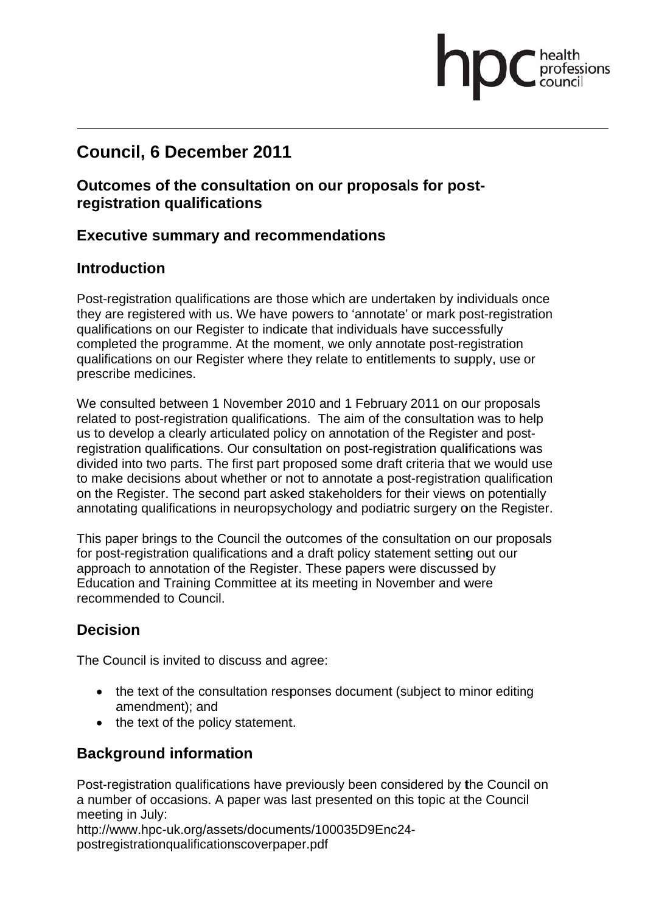## **Council, 6 December 2011**

#### **Outcomes of the consultation on our proposals for postregistration qualifications**

#### **Executive summary and recommendations**

#### **Introduction**

Post-registration qualifications are those which are undertaken by individuals once they are registered with us. We have powers to 'annotate' or mark post-registration qualifications on our Register to indicate that individuals have successfully completed the programme. At the moment, we only annotate post-registration qualifications on our Register where they relate to entitlements to supply, use or prescribe medicines.

fessions

We consulted between 1 November 2010 and 1 February 2011 on our proposals related to post-registration qualifications. The aim of the consultation was to help us to develop a clearly articulated policy on annotation of the Register and postregistration qualifications. Our consultation on post-registration qualifications was divided into two parts. The first part proposed some draft criteria that we would use to make decisions about whether or not to annotate a post-registration qualification on the Register. The second part asked stakeholders for their views on potentially annotating qualifications in neuropsychology and podiatric surgery on the Register.

This paper brings to the Council the outcomes of the consultation on our proposals for post-registration qualifications and a draft policy statement setting out our approach to annotation of the Register. These papers were discussed by Education and Training Committee at its meeting in November and were recomm mended to Council.

#### **Decis sion**

The Council is invited to discuss and agree:

- the text of the consultation responses document (subject to minor editing amendment); and
- the text of the policy statement.

#### **Background information**

Post-registration qualifications have previously been considered by the Council on a number of occasions. A paper was last presented on this topic at the Council meeting in July:

http://www.hpc-uk.org/assets/documents/100035D9Enc24-

postregistrationqualificationscoverpaper.pdf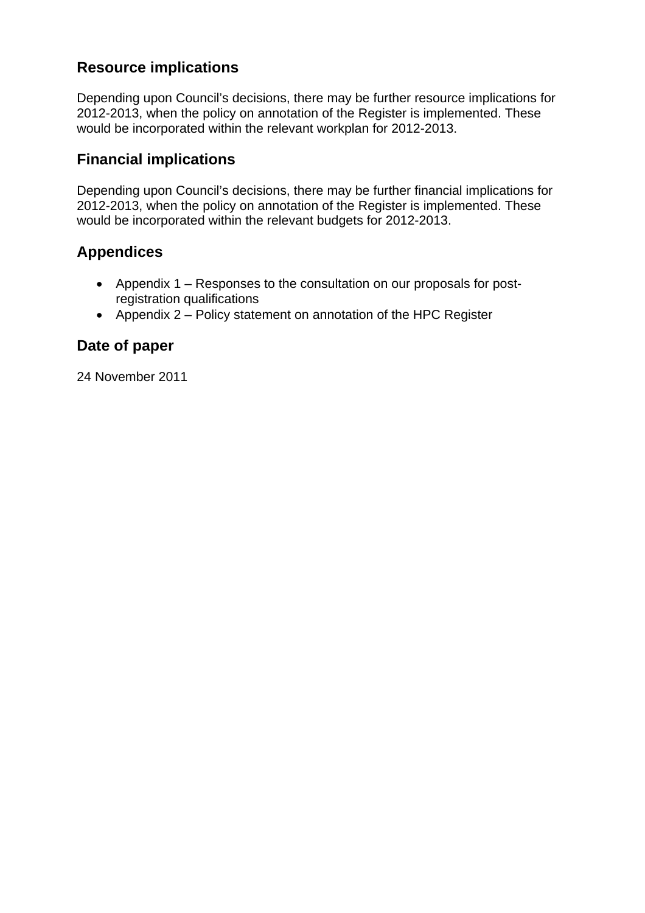## **Resource implications**

Depending upon Council's decisions, there may be further resource implications for 2012-2013, when the policy on annotation of the Register is implemented. These would be incorporated within the relevant workplan for 2012-2013.

#### **Financial implications**

Depending upon Council's decisions, there may be further financial implications for 2012-2013, when the policy on annotation of the Register is implemented. These would be incorporated within the relevant budgets for 2012-2013.

#### **Appendices**

- Appendix 1 Responses to the consultation on our proposals for postregistration qualifications
- Appendix 2 Policy statement on annotation of the HPC Register

#### **Date of paper**

24 November 2011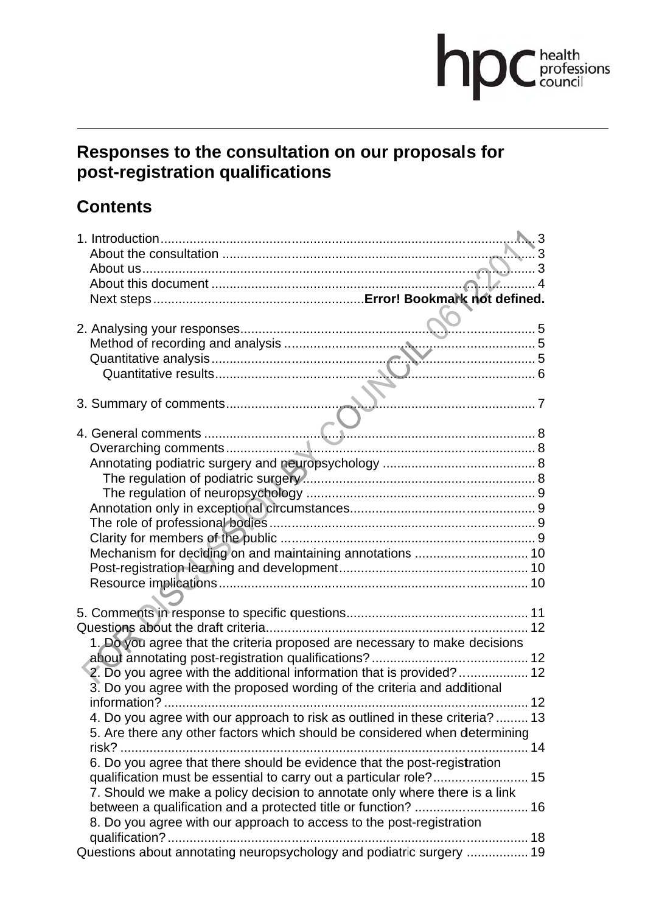# **DDC** health

## **Responses to the consultation on our proposals for post-registration qualifications**

## **Contents**

| 1. Do you agree that the criteria proposed are necessary to make decisions   |  |
|------------------------------------------------------------------------------|--|
|                                                                              |  |
| 2. Do you agree with the additional information that is provided?  12        |  |
| 3. Do you agree with the proposed wording of the criteria and additional     |  |
|                                                                              |  |
| 4. Do you agree with our approach to risk as outlined in these criteria?  13 |  |
| 5. Are there any other factors which should be considered when determining   |  |
| risk?                                                                        |  |
| 6. Do you agree that there should be evidence that the post-registration     |  |
|                                                                              |  |
| 7. Should we make a policy decision to annotate only where there is a link   |  |
|                                                                              |  |
| 8. Do you agree with our approach to access to the post-registration         |  |
| Questions about annotating neuropsychology and podiatric surgery  19         |  |
|                                                                              |  |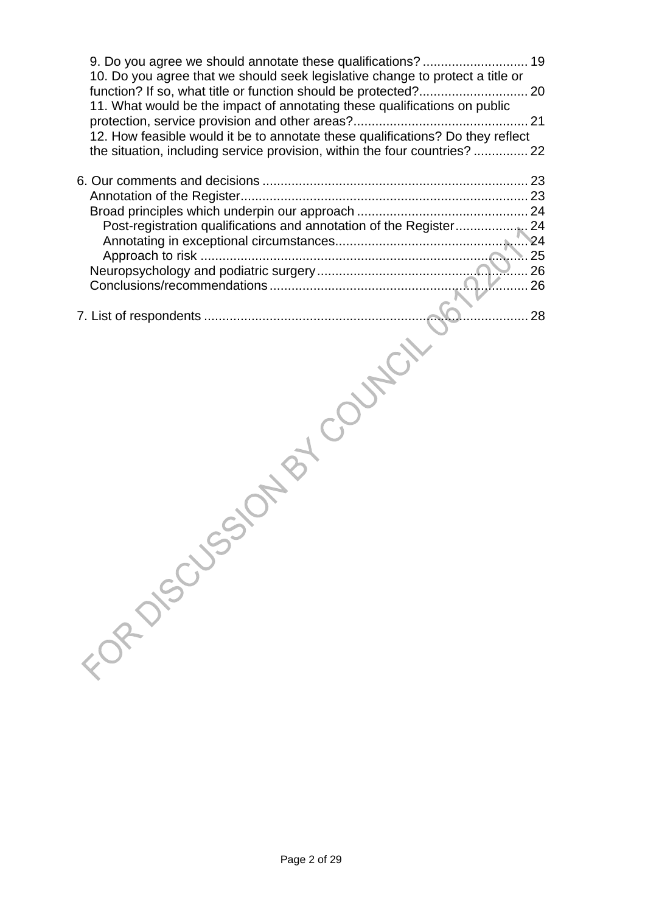| 10. Do you agree that we should seek legislative change to protect a title or<br>11. What would be the impact of annotating these qualifications on public<br>12. How feasible would it be to annotate these qualifications? Do they reflect<br>the situation, including service provision, within the four countries?  22 |            |
|----------------------------------------------------------------------------------------------------------------------------------------------------------------------------------------------------------------------------------------------------------------------------------------------------------------------------|------------|
|                                                                                                                                                                                                                                                                                                                            | 25         |
| Entre Jussi                                                                                                                                                                                                                                                                                                                | BY COUPLEY |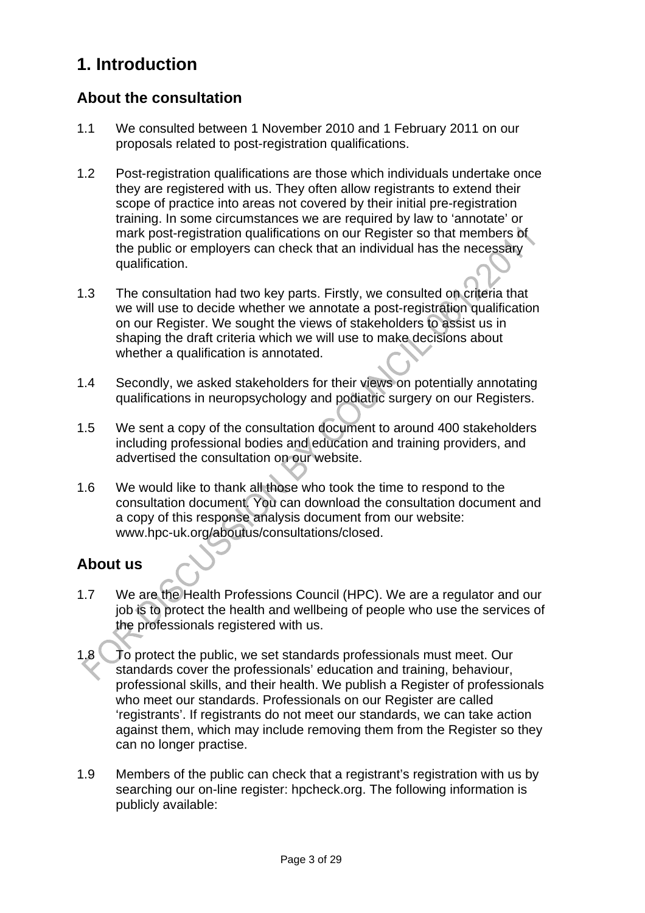## **1. Introduction**

#### **About the consultation**

- 1.1 We consulted between 1 November 2010 and 1 February 2011 on our proposals related to post-registration qualifications.
- 1.2 Post-registration qualifications are those which individuals undertake once they are registered with us. They often allow registrants to extend their scope of practice into areas not covered by their initial pre-registration training. In some circumstances we are required by law to 'annotate' or mark post-registration qualifications on our Register so that members of the public or employers can check that an individual has the necessary qualification.
- 1.3 The consultation had two key parts. Firstly, we consulted on criteria that we will use to decide whether we annotate a post-registration qualification on our Register. We sought the views of stakeholders to assist us in shaping the draft criteria which we will use to make decisions about whether a qualification is annotated.
- 1.4 Secondly, we asked stakeholders for their views on potentially annotating qualifications in neuropsychology and podiatric surgery on our Registers.
- 1.5 We sent a copy of the consultation document to around 400 stakeholders including professional bodies and education and training providers, and advertised the consultation on our website.
- 1.6 We would like to thank all those who took the time to respond to the consultation document. You can download the consultation document and a copy of this response analysis document from our website: www.hpc-uk.org/aboutus/consultations/closed.

## **About us**

- 1.7 We are the Health Professions Council (HPC). We are a regulator and our job is to protect the health and wellbeing of people who use the services of the professionals registered with us.
- 1.8 To protect the public, we set standards professionals must meet. Our standards cover the professionals' education and training, behaviour, professional skills, and their health. We publish a Register of professionals who meet our standards. Professionals on our Register are called 'registrants'. If registrants do not meet our standards, we can take action against them, which may include removing them from the Register so they can no longer practise.
- 1.9 Members of the public can check that a registrant's registration with us by searching our on-line register: hpcheck.org. The following information is publicly available: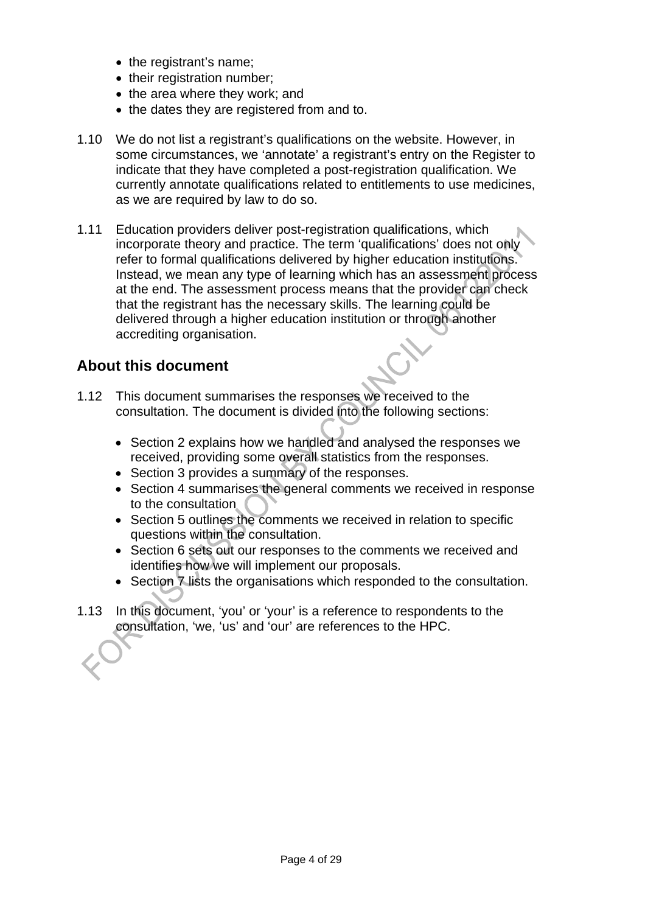- the registrant's name;
- their registration number:
- the area where they work; and
- the dates they are registered from and to.
- 1.10 We do not list a registrant's qualifications on the website. However, in some circumstances, we 'annotate' a registrant's entry on the Register to indicate that they have completed a post-registration qualification. We currently annotate qualifications related to entitlements to use medicines, as we are required by law to do so.
- 1.11 Education providers deliver post-registration qualifications, which incorporate theory and practice. The term 'qualifications' does not only refer to formal qualifications delivered by higher education institutions. Instead, we mean any type of learning which has an assessment process at the end. The assessment process means that the provider can check that the registrant has the necessary skills. The learning could be delivered through a higher education institution or through another accrediting organisation.

#### **About this document**

- 1.12 This document summarises the responses we received to the consultation. The document is divided into the following sections:
	- Section 2 explains how we handled and analysed the responses we received, providing some overall statistics from the responses.
	- Section 3 provides a summary of the responses.
	- Section 4 summarises the general comments we received in response to the consultation
	- Section 5 outlines the comments we received in relation to specific questions within the consultation.
	- Section 6 sets out our responses to the comments we received and identifies how we will implement our proposals.
	- Section 7 lists the organisations which responded to the consultation.
- 1.13 In this document, 'you' or 'your' is a reference to respondents to the consultation, 'we, 'us' and 'our' are references to the HPC.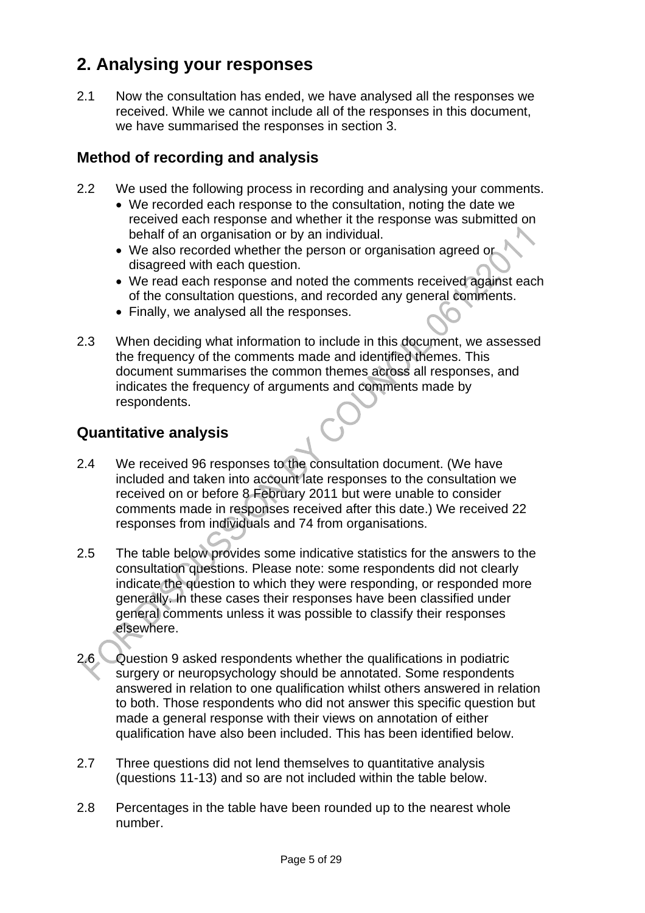## **2. Analysing your responses**

2.1 Now the consultation has ended, we have analysed all the responses we received. While we cannot include all of the responses in this document, we have summarised the responses in section 3.

#### **Method of recording and analysis**

- 2.2 We used the following process in recording and analysing your comments.
	- We recorded each response to the consultation, noting the date we received each response and whether it the response was submitted on behalf of an organisation or by an individual.
	- We also recorded whether the person or organisation agreed or disagreed with each question.
	- We read each response and noted the comments received against each of the consultation questions, and recorded any general comments.
	- Finally, we analysed all the responses.
- 2.3 When deciding what information to include in this document, we assessed the frequency of the comments made and identified themes. This document summarises the common themes across all responses, and indicates the frequency of arguments and comments made by respondents.

#### **Quantitative analysis**

- 2.4 We received 96 responses to the consultation document. (We have included and taken into account late responses to the consultation we received on or before 8 February 2011 but were unable to consider comments made in responses received after this date.) We received 22 responses from individuals and 74 from organisations.
- 2.5 The table below provides some indicative statistics for the answers to the consultation questions. Please note: some respondents did not clearly indicate the question to which they were responding, or responded more generally. In these cases their responses have been classified under general comments unless it was possible to classify their responses elsewhere.
- 2.6 Question 9 asked respondents whether the qualifications in podiatric surgery or neuropsychology should be annotated. Some respondents answered in relation to one qualification whilst others answered in relation to both. Those respondents who did not answer this specific question but made a general response with their views on annotation of either qualification have also been included. This has been identified below.
- 2.7 Three questions did not lend themselves to quantitative analysis (questions 11-13) and so are not included within the table below.
- 2.8 Percentages in the table have been rounded up to the nearest whole number.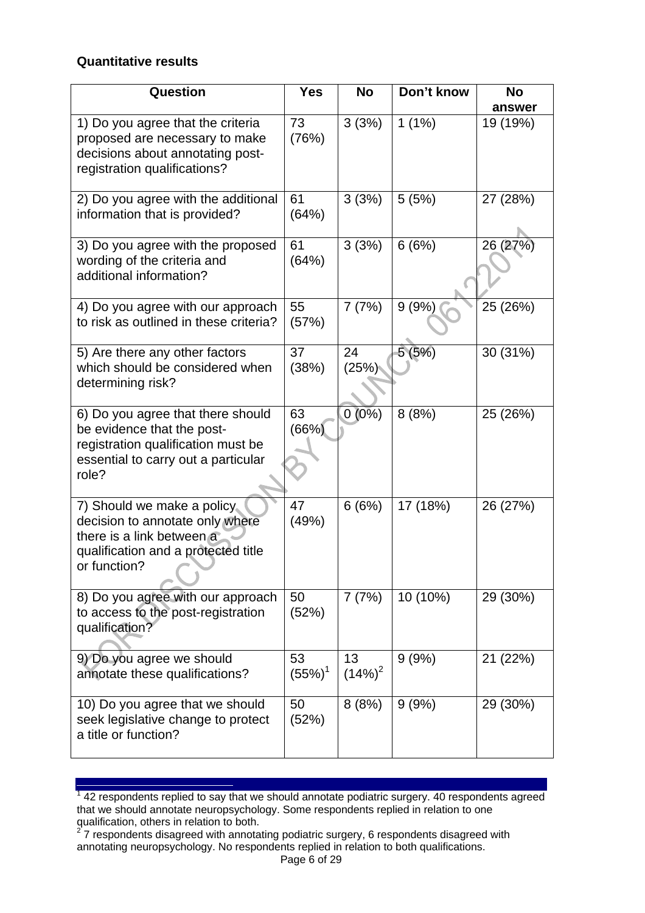#### **Quantitative results**

| Question                                                                                                                                              | <b>Yes</b>      | <b>No</b>       | Don't know | <b>No</b> |
|-------------------------------------------------------------------------------------------------------------------------------------------------------|-----------------|-----------------|------------|-----------|
|                                                                                                                                                       |                 |                 |            | answer    |
| 1) Do you agree that the criteria<br>proposed are necessary to make<br>decisions about annotating post-<br>registration qualifications?               | 73<br>(76%)     | 3(3%)           | 1 $(1\%)$  | 19 (19%)  |
| 2) Do you agree with the additional<br>information that is provided?                                                                                  | 61<br>(64%)     | 3(3%)           | 5(5%)      | 27 (28%)  |
| 3) Do you agree with the proposed<br>wording of the criteria and<br>additional information?                                                           | 61<br>(64%)     | 3(3%)           | 6(6%)      | 26 (27%)  |
| 4) Do you agree with our approach<br>to risk as outlined in these criteria?                                                                           | 55<br>(57%)     | 7(7%)           | 9(9%)      | 25 (26%)  |
| 5) Are there any other factors<br>which should be considered when<br>determining risk?                                                                | 37<br>(38%)     | 24<br>(25%)     | 5(5%)      | 30 (31%)  |
| 6) Do you agree that there should<br>be evidence that the post-<br>registration qualification must be<br>essential to carry out a particular<br>role? | 63<br>(66%)     | $0(0\%)$        | 8(8%)      | 25 (26%)  |
| 7) Should we make a policy<br>decision to annotate only where<br>there is a link between a<br>qualification and a protected title<br>or function?     | 47<br>(49%)     | 6(6%)           | 17 (18%)   | 26 (27%)  |
| 8) Do you agree with our approach<br>to access to the post-registration<br>qualification?                                                             | 50<br>(52%)     | 7(7%)           | 10 (10%)   | 29 (30%)  |
| 9) Do you agree we should<br>annotate these qualifications?                                                                                           | 53<br>$(55%)^1$ | 13<br>$(14%)^2$ | 9(9%)      | 21 (22%)  |
| 10) Do you agree that we should<br>seek legislative change to protect<br>a title or function?                                                         | 50<br>(52%)     | 8(8%)           | 9(9%)      | 29 (30%)  |

**TELECTE**<br><sup>1</sup> 42 respondents replied to say that we should annotate podiatric surgery. 40 respondents agreed that we should annotate neuropsychology. Some respondents replied in relation to one

qualification, others in relation to both.<br><sup>2</sup> 7 respondents disagreed with annotating podiatric surgery, 6 respondents disagreed with annotating neuropsychology. No respondents replied in relation to both qualifications.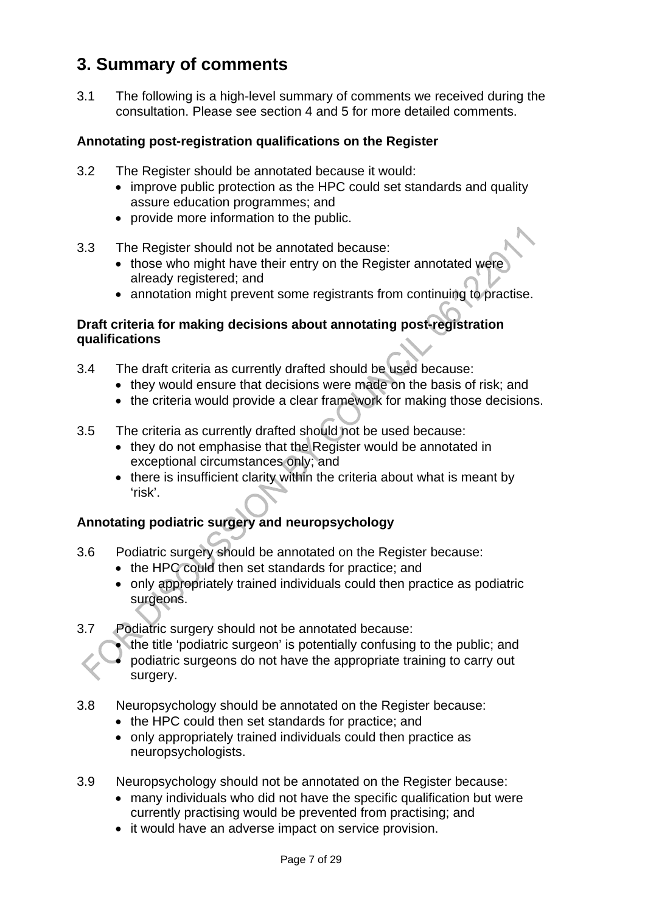## **3. Summary of comments**

3.1 The following is a high-level summary of comments we received during the consultation. Please see section 4 and 5 for more detailed comments.

#### **Annotating post-registration qualifications on the Register**

- 3.2 The Register should be annotated because it would:
	- improve public protection as the HPC could set standards and quality assure education programmes; and
	- provide more information to the public.
- 3.3 The Register should not be annotated because:
	- those who might have their entry on the Register annotated were already registered; and
	- annotation might prevent some registrants from continuing to practise.

#### **Draft criteria for making decisions about annotating post-registration qualifications**

- 3.4 The draft criteria as currently drafted should be used because:
	- they would ensure that decisions were made on the basis of risk; and
	- the criteria would provide a clear framework for making those decisions.
- 3.5 The criteria as currently drafted should not be used because:
	- they do not emphasise that the Register would be annotated in exceptional circumstances only; and
	- there is insufficient clarity within the criteria about what is meant by 'risk'.

#### **Annotating podiatric surgery and neuropsychology**

- 3.6 Podiatric surgery should be annotated on the Register because:
	- the HPC could then set standards for practice; and
	- only appropriately trained individuals could then practice as podiatric surgeons.
- 3.7 Podiatric surgery should not be annotated because:
	- the title 'podiatric surgeon' is potentially confusing to the public; and
	- podiatric surgeons do not have the appropriate training to carry out surgery.
- 3.8 Neuropsychology should be annotated on the Register because:
	- the HPC could then set standards for practice; and
	- only appropriately trained individuals could then practice as neuropsychologists.
- 3.9 Neuropsychology should not be annotated on the Register because:
	- many individuals who did not have the specific qualification but were currently practising would be prevented from practising; and
	- it would have an adverse impact on service provision.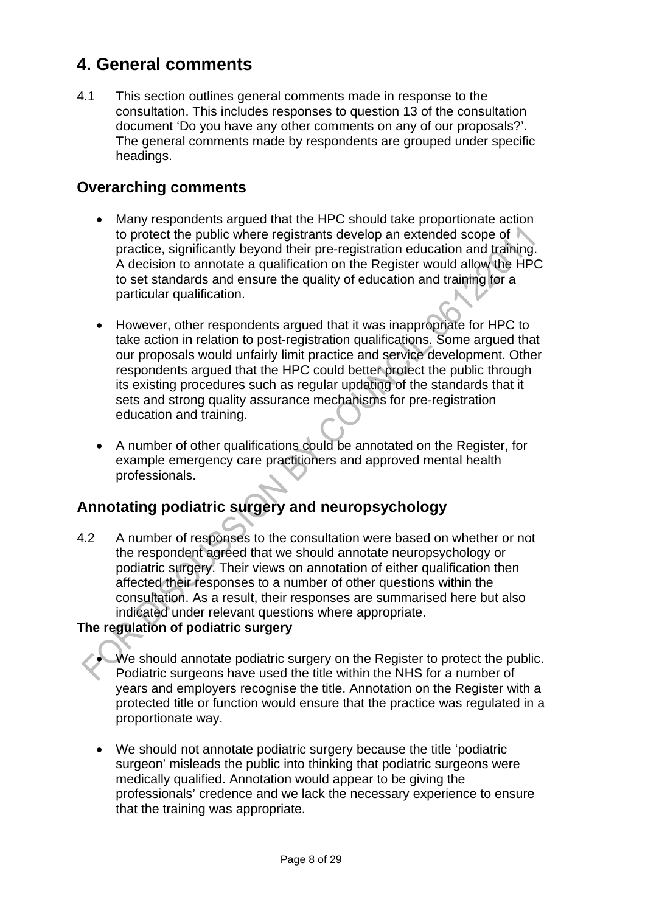## **4. General comments**

4.1 This section outlines general comments made in response to the consultation. This includes responses to question 13 of the consultation document 'Do you have any other comments on any of our proposals?'. The general comments made by respondents are grouped under specific headings.

#### **Overarching comments**

- Many respondents argued that the HPC should take proportionate action to protect the public where registrants develop an extended scope of practice, significantly beyond their pre-registration education and training. A decision to annotate a qualification on the Register would allow the HPC to set standards and ensure the quality of education and training for a particular qualification.
- However, other respondents argued that it was inappropriate for HPC to take action in relation to post-registration qualifications. Some argued that our proposals would unfairly limit practice and service development. Other respondents argued that the HPC could better protect the public through its existing procedures such as regular updating of the standards that it sets and strong quality assurance mechanisms for pre-registration education and training.
- A number of other qualifications could be annotated on the Register, for example emergency care practitioners and approved mental health professionals.

## **Annotating podiatric surgery and neuropsychology**

4.2 A number of responses to the consultation were based on whether or not the respondent agreed that we should annotate neuropsychology or podiatric surgery. Their views on annotation of either qualification then affected their responses to a number of other questions within the consultation. As a result, their responses are summarised here but also indicated under relevant questions where appropriate.

#### **The regulation of podiatric surgery**

- We should annotate podiatric surgery on the Register to protect the public. Podiatric surgeons have used the title within the NHS for a number of years and employers recognise the title. Annotation on the Register with a protected title or function would ensure that the practice was regulated in a proportionate way.
- We should not annotate podiatric surgery because the title 'podiatric surgeon' misleads the public into thinking that podiatric surgeons were medically qualified. Annotation would appear to be giving the professionals' credence and we lack the necessary experience to ensure that the training was appropriate.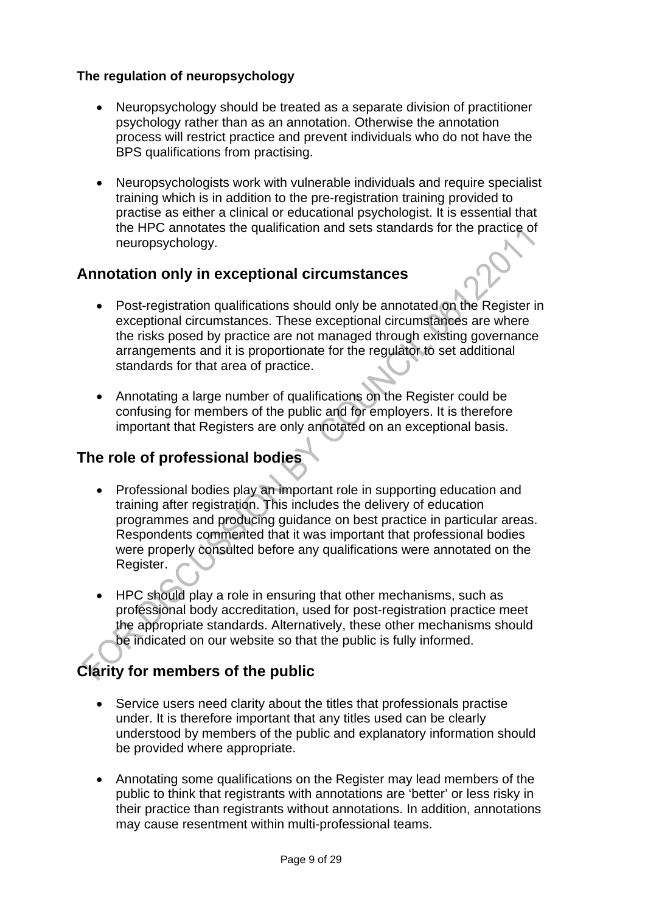#### **The regulation of neuropsychology**

- Neuropsychology should be treated as a separate division of practitioner psychology rather than as an annotation. Otherwise the annotation process will restrict practice and prevent individuals who do not have the BPS qualifications from practising.
- Neuropsychologists work with vulnerable individuals and require specialist training which is in addition to the pre-registration training provided to practise as either a clinical or educational psychologist. It is essential that the HPC annotates the qualification and sets standards for the practice of neuropsychology.

#### **Annotation only in exceptional circumstances**

- Post-registration qualifications should only be annotated on the Register in exceptional circumstances. These exceptional circumstances are where the risks posed by practice are not managed through existing governance arrangements and it is proportionate for the regulator to set additional standards for that area of practice.
- Annotating a large number of qualifications on the Register could be confusing for members of the public and for employers. It is therefore important that Registers are only annotated on an exceptional basis.

#### **The role of professional bodies**

- Professional bodies play an important role in supporting education and training after registration. This includes the delivery of education programmes and producing guidance on best practice in particular areas. Respondents commented that it was important that professional bodies were properly consulted before any qualifications were annotated on the Register.
- HPC should play a role in ensuring that other mechanisms, such as professional body accreditation, used for post-registration practice meet the appropriate standards. Alternatively, these other mechanisms should be indicated on our website so that the public is fully informed.

## **Clarity for members of the public**

- Service users need clarity about the titles that professionals practise under. It is therefore important that any titles used can be clearly understood by members of the public and explanatory information should be provided where appropriate.
- Annotating some qualifications on the Register may lead members of the public to think that registrants with annotations are 'better' or less risky in their practice than registrants without annotations. In addition, annotations may cause resentment within multi-professional teams.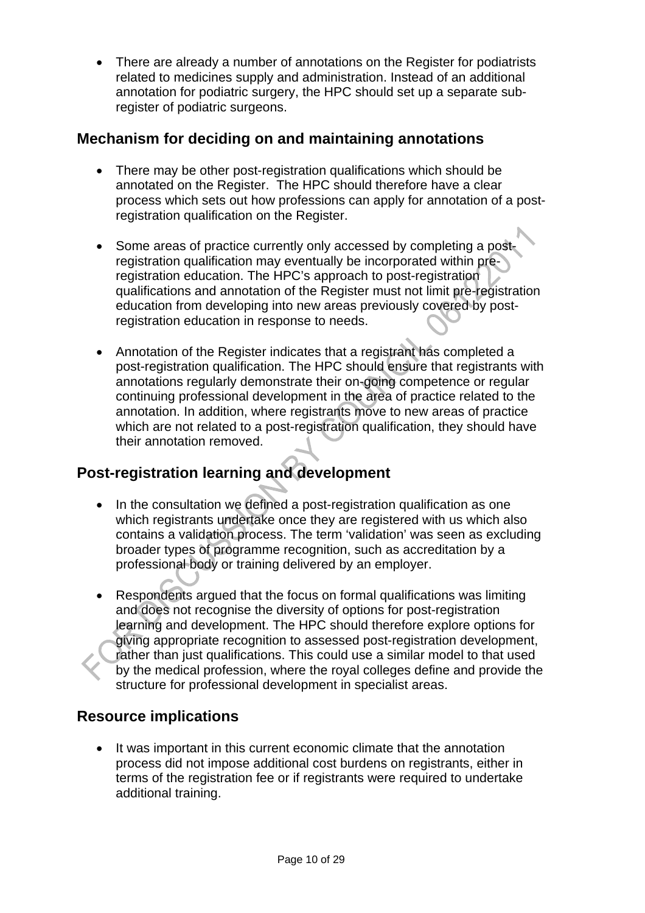• There are already a number of annotations on the Register for podiatrists related to medicines supply and administration. Instead of an additional annotation for podiatric surgery, the HPC should set up a separate subregister of podiatric surgeons.

#### **Mechanism for deciding on and maintaining annotations**

- There may be other post-registration qualifications which should be annotated on the Register. The HPC should therefore have a clear process which sets out how professions can apply for annotation of a postregistration qualification on the Register.
- Some areas of practice currently only accessed by completing a postregistration qualification may eventually be incorporated within preregistration education. The HPC's approach to post-registration qualifications and annotation of the Register must not limit pre-registration education from developing into new areas previously covered by postregistration education in response to needs.
- Annotation of the Register indicates that a registrant has completed a post-registration qualification. The HPC should ensure that registrants with annotations regularly demonstrate their on-going competence or regular continuing professional development in the area of practice related to the annotation. In addition, where registrants move to new areas of practice which are not related to a post-registration qualification, they should have their annotation removed.

## **Post-registration learning and development**

- In the consultation we defined a post-registration qualification as one which registrants undertake once they are registered with us which also contains a validation process. The term 'validation' was seen as excluding broader types of programme recognition, such as accreditation by a professional body or training delivered by an employer.
- Respondents argued that the focus on formal qualifications was limiting and does not recognise the diversity of options for post-registration learning and development. The HPC should therefore explore options for giving appropriate recognition to assessed post-registration development, rather than just qualifications. This could use a similar model to that used by the medical profession, where the royal colleges define and provide the structure for professional development in specialist areas.

## **Resource implications**

• It was important in this current economic climate that the annotation process did not impose additional cost burdens on registrants, either in terms of the registration fee or if registrants were required to undertake additional training.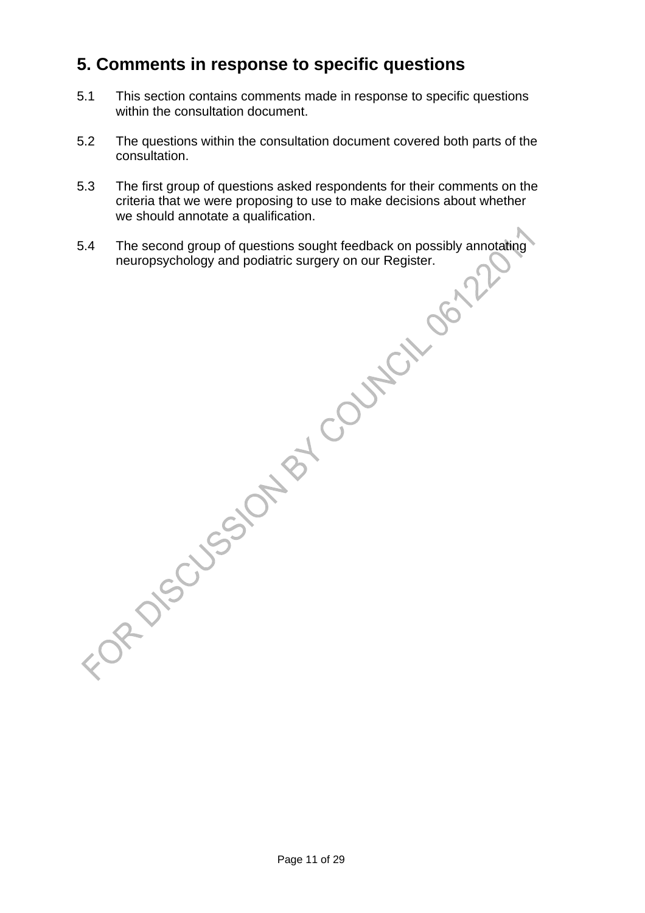## **5. Comments in response to specific questions**

- 5.1 This section contains comments made in response to specific questions within the consultation document.
- 5.2 The questions within the consultation document covered both parts of the consultation.
- 5.3 The first group of questions asked respondents for their comments on the criteria that we were proposing to use to make decisions about whether we should annotate a qualification.
- 5.4 The second group of questions sought feedback on possibly annotating neuropsychology and podiatric surgery on our Register.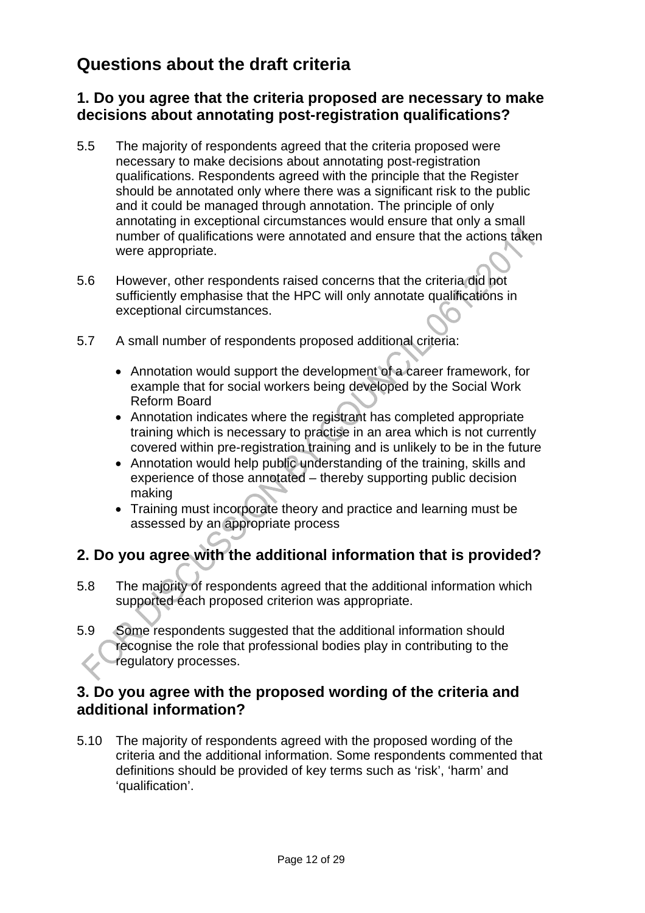## **Questions about the draft criteria**

#### **1. Do you agree that the criteria proposed are necessary to make decisions about annotating post-registration qualifications?**

- 5.5 The majority of respondents agreed that the criteria proposed were necessary to make decisions about annotating post-registration qualifications. Respondents agreed with the principle that the Register should be annotated only where there was a significant risk to the public and it could be managed through annotation. The principle of only annotating in exceptional circumstances would ensure that only a small number of qualifications were annotated and ensure that the actions taken were appropriate.
- 5.6 However, other respondents raised concerns that the criteria did not sufficiently emphasise that the HPC will only annotate qualifications in exceptional circumstances.
- 5.7 A small number of respondents proposed additional criteria:
	- Annotation would support the development of a career framework, for example that for social workers being developed by the Social Work Reform Board
	- Annotation indicates where the registrant has completed appropriate training which is necessary to practise in an area which is not currently covered within pre-registration training and is unlikely to be in the future
	- Annotation would help public understanding of the training, skills and experience of those annotated – thereby supporting public decision making
	- Training must incorporate theory and practice and learning must be assessed by an appropriate process

#### **2. Do you agree with the additional information that is provided?**

- 5.8 The majority of respondents agreed that the additional information which supported each proposed criterion was appropriate.
- 5.9 Some respondents suggested that the additional information should recognise the role that professional bodies play in contributing to the regulatory processes.

#### **3. Do you agree with the proposed wording of the criteria and additional information?**

5.10 The majority of respondents agreed with the proposed wording of the criteria and the additional information. Some respondents commented that definitions should be provided of key terms such as 'risk', 'harm' and 'qualification'.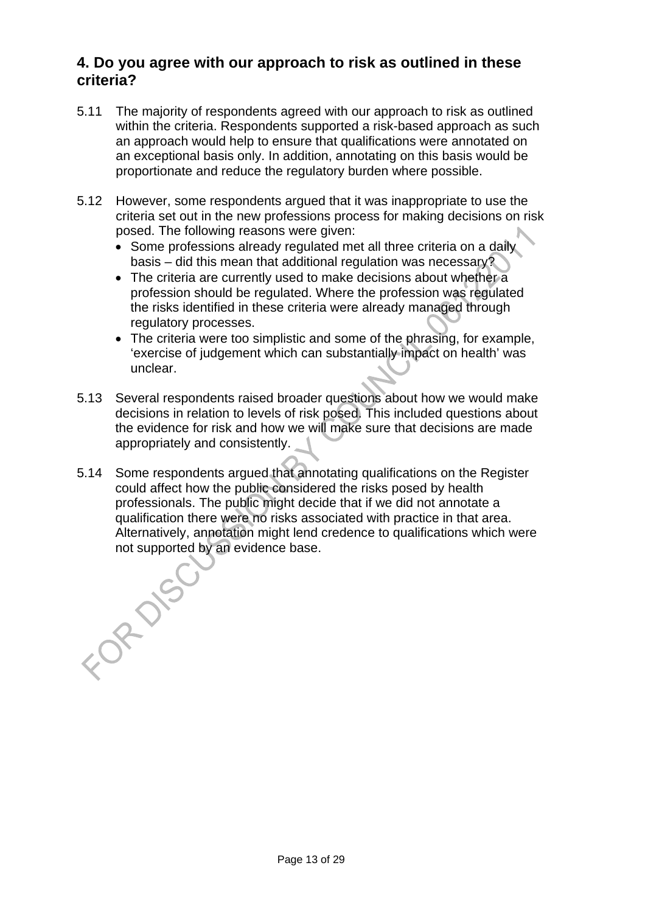#### **4. Do you agree with our approach to risk as outlined in these criteria?**

- 5.11 The majority of respondents agreed with our approach to risk as outlined within the criteria. Respondents supported a risk-based approach as such an approach would help to ensure that qualifications were annotated on an exceptional basis only. In addition, annotating on this basis would be proportionate and reduce the regulatory burden where possible.
- 5.12 However, some respondents argued that it was inappropriate to use the criteria set out in the new professions process for making decisions on risk posed. The following reasons were given:
	- Some professions already regulated met all three criteria on a daily basis – did this mean that additional regulation was necessary?
	- The criteria are currently used to make decisions about whether a profession should be regulated. Where the profession was regulated the risks identified in these criteria were already managed through regulatory processes.
	- The criteria were too simplistic and some of the phrasing, for example, 'exercise of judgement which can substantially impact on health' was unclear.
- 5.13 Several respondents raised broader questions about how we would make decisions in relation to levels of risk posed. This included questions about the evidence for risk and how we will make sure that decisions are made appropriately and consistently.
- 5.14 Some respondents argued that annotating qualifications on the Register could affect how the public considered the risks posed by health professionals. The public might decide that if we did not annotate a qualification there were no risks associated with practice in that area. Alternatively, annotation might lend credence to qualifications which were not supported by an evidence base.

FORDISC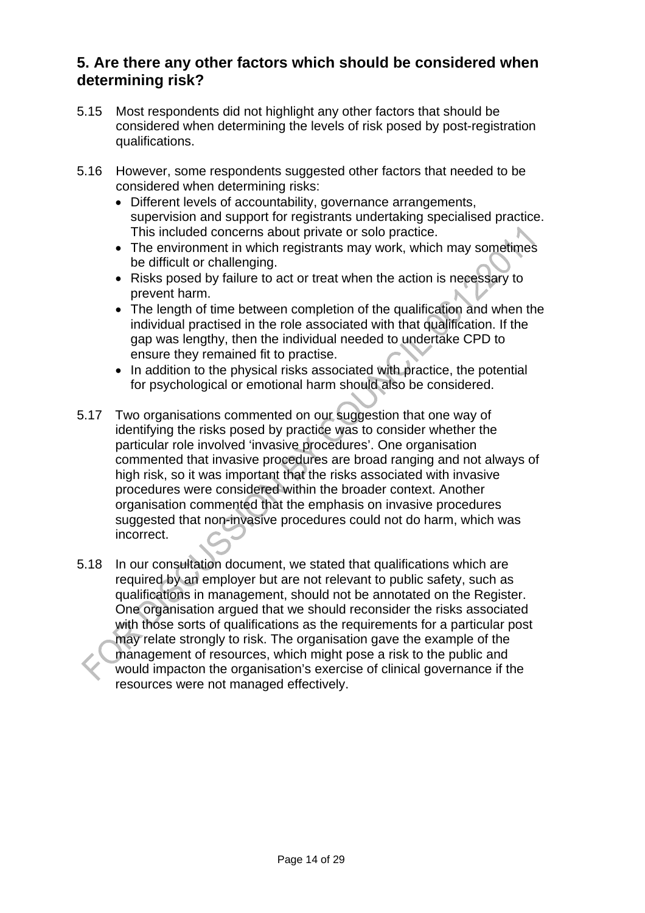#### **5. Are there any other factors which should be considered when determining risk?**

- 5.15 Most respondents did not highlight any other factors that should be considered when determining the levels of risk posed by post-registration qualifications.
- 5.16 However, some respondents suggested other factors that needed to be considered when determining risks:
	- Different levels of accountability, governance arrangements, supervision and support for registrants undertaking specialised practice. This included concerns about private or solo practice.
	- The environment in which registrants may work, which may sometimes be difficult or challenging.
	- Risks posed by failure to act or treat when the action is necessary to prevent harm.
	- The length of time between completion of the qualification and when the individual practised in the role associated with that qualification. If the gap was lengthy, then the individual needed to undertake CPD to ensure they remained fit to practise.
	- In addition to the physical risks associated with practice, the potential for psychological or emotional harm should also be considered.
- 5.17 Two organisations commented on our suggestion that one way of identifying the risks posed by practice was to consider whether the particular role involved 'invasive procedures'. One organisation commented that invasive procedures are broad ranging and not always of high risk, so it was important that the risks associated with invasive procedures were considered within the broader context. Another organisation commented that the emphasis on invasive procedures suggested that non-invasive procedures could not do harm, which was incorrect.
- 5.18 In our consultation document, we stated that qualifications which are required by an employer but are not relevant to public safety, such as qualifications in management, should not be annotated on the Register. One organisation argued that we should reconsider the risks associated with those sorts of qualifications as the requirements for a particular post may relate strongly to risk. The organisation gave the example of the management of resources, which might pose a risk to the public and would impacton the organisation's exercise of clinical governance if the resources were not managed effectively.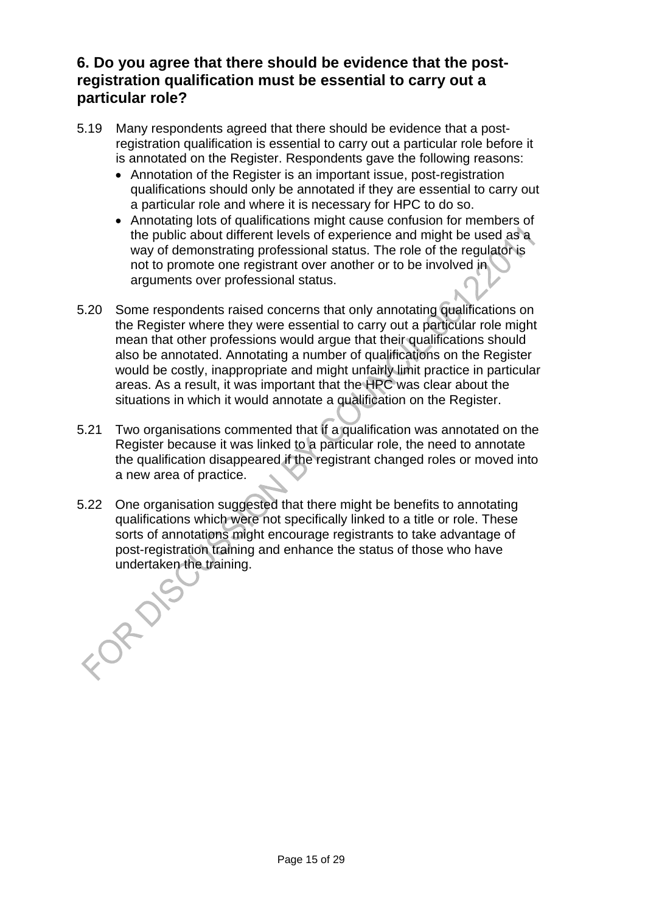#### **6. Do you agree that there should be evidence that the postregistration qualification must be essential to carry out a particular role?**

- 5.19 Many respondents agreed that there should be evidence that a postregistration qualification is essential to carry out a particular role before it is annotated on the Register. Respondents gave the following reasons:
	- Annotation of the Register is an important issue, post-registration qualifications should only be annotated if they are essential to carry out a particular role and where it is necessary for HPC to do so.
	- Annotating lots of qualifications might cause confusion for members of the public about different levels of experience and might be used as a way of demonstrating professional status. The role of the regulator is not to promote one registrant over another or to be involved in arguments over professional status.
- 5.20 Some respondents raised concerns that only annotating qualifications on the Register where they were essential to carry out a particular role might mean that other professions would argue that their qualifications should also be annotated. Annotating a number of qualifications on the Register would be costly, inappropriate and might unfairly limit practice in particular areas. As a result, it was important that the HPC was clear about the situations in which it would annotate a qualification on the Register.
- 5.21 Two organisations commented that if a qualification was annotated on the Register because it was linked to a particular role, the need to annotate the qualification disappeared if the registrant changed roles or moved into a new area of practice.
- 5.22 One organisation suggested that there might be benefits to annotating qualifications which were not specifically linked to a title or role. These sorts of annotations might encourage registrants to take advantage of post-registration training and enhance the status of those who have undertaken the training.

Page 15 of 29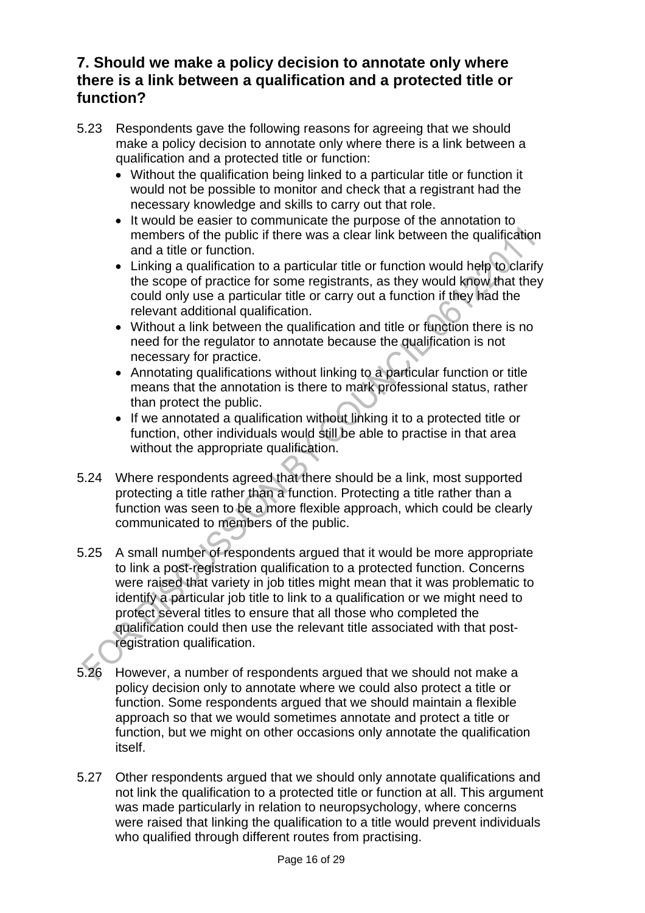#### **7. Should we make a policy decision to annotate only where there is a link between a qualification and a protected title or function?**

- 5.23 Respondents gave the following reasons for agreeing that we should make a policy decision to annotate only where there is a link between a qualification and a protected title or function:
	- Without the qualification being linked to a particular title or function it would not be possible to monitor and check that a registrant had the necessary knowledge and skills to carry out that role.
	- It would be easier to communicate the purpose of the annotation to members of the public if there was a clear link between the qualification and a title or function.
	- Linking a qualification to a particular title or function would help to clarify the scope of practice for some registrants, as they would know that they could only use a particular title or carry out a function if they had the relevant additional qualification.
	- Without a link between the qualification and title or function there is no need for the regulator to annotate because the qualification is not necessary for practice.
	- Annotating qualifications without linking to a particular function or title means that the annotation is there to mark professional status, rather than protect the public.
	- If we annotated a qualification without linking it to a protected title or function, other individuals would still be able to practise in that area without the appropriate qualification.
- 5.24 Where respondents agreed that there should be a link, most supported protecting a title rather than a function. Protecting a title rather than a function was seen to be a more flexible approach, which could be clearly communicated to members of the public.
- 5.25 A small number of respondents argued that it would be more appropriate to link a post-registration qualification to a protected function. Concerns were raised that variety in job titles might mean that it was problematic to identify a particular job title to link to a qualification or we might need to protect several titles to ensure that all those who completed the qualification could then use the relevant title associated with that postregistration qualification.
- 5.26 However, a number of respondents argued that we should not make a policy decision only to annotate where we could also protect a title or function. Some respondents argued that we should maintain a flexible approach so that we would sometimes annotate and protect a title or function, but we might on other occasions only annotate the qualification itself.
- 5.27 Other respondents argued that we should only annotate qualifications and not link the qualification to a protected title or function at all. This argument was made particularly in relation to neuropsychology, where concerns were raised that linking the qualification to a title would prevent individuals who qualified through different routes from practising.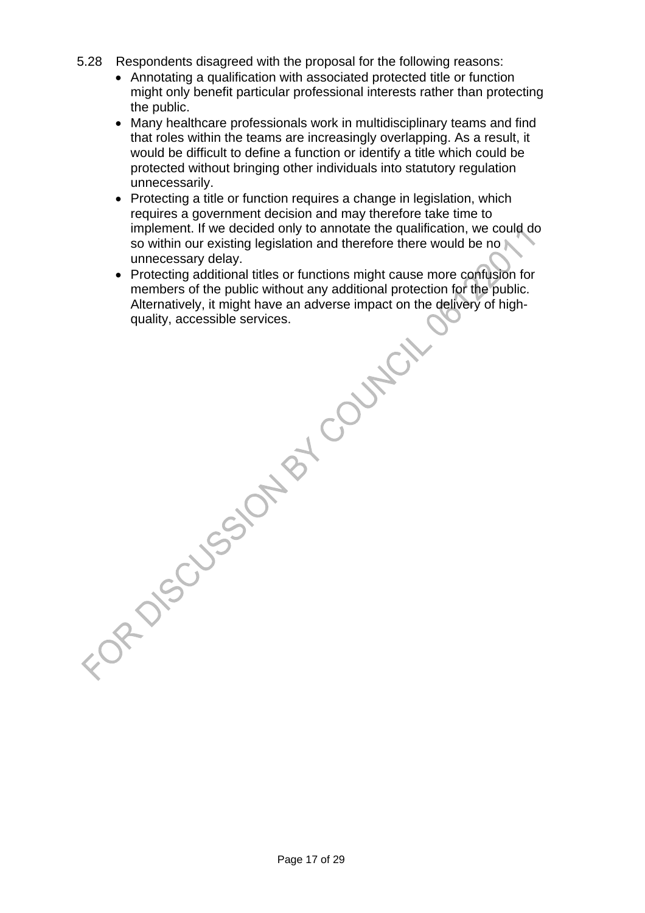- 5.28 Respondents disagreed with the proposal for the following reasons:
	- Annotating a qualification with associated protected title or function might only benefit particular professional interests rather than protecting the public.
	- Many healthcare professionals work in multidisciplinary teams and find that roles within the teams are increasingly overlapping. As a result, it would be difficult to define a function or identify a title which could be protected without bringing other individuals into statutory regulation unnecessarily.
	- Protecting a title or function requires a change in legislation, which requires a government decision and may therefore take time to implement. If we decided only to annotate the qualification, we could do so within our existing legislation and therefore there would be no unnecessary delay.
- Protecting additional titles or functions might cause more confusion for members of the public without any additional protection for the public. Alternatively, it might have an adverse impact on the delivery of high-FOR DISCUSSION BY COUNTIL

Page 17 of 29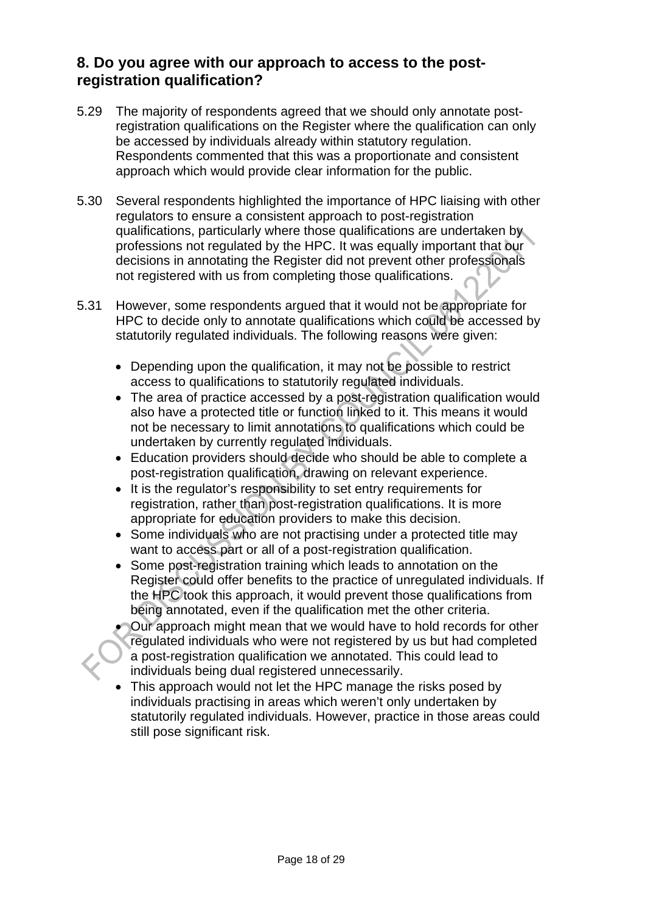#### **8. Do you agree with our approach to access to the postregistration qualification?**

- 5.29 The majority of respondents agreed that we should only annotate postregistration qualifications on the Register where the qualification can only be accessed by individuals already within statutory regulation. Respondents commented that this was a proportionate and consistent approach which would provide clear information for the public.
- 5.30 Several respondents highlighted the importance of HPC liaising with other regulators to ensure a consistent approach to post-registration qualifications, particularly where those qualifications are undertaken by professions not regulated by the HPC. It was equally important that our decisions in annotating the Register did not prevent other professionals not registered with us from completing those qualifications.
- 5.31 However, some respondents argued that it would not be appropriate for HPC to decide only to annotate qualifications which could be accessed by statutorily regulated individuals. The following reasons were given:
	- Depending upon the qualification, it may not be possible to restrict access to qualifications to statutorily regulated individuals.
	- The area of practice accessed by a post-registration qualification would also have a protected title or function linked to it. This means it would not be necessary to limit annotations to qualifications which could be undertaken by currently regulated individuals.
	- Education providers should decide who should be able to complete a post-registration qualification, drawing on relevant experience.
	- It is the regulator's responsibility to set entry requirements for registration, rather than post-registration qualifications. It is more appropriate for education providers to make this decision.
	- Some individuals who are not practising under a protected title may want to access part or all of a post-registration qualification.
	- Some post-registration training which leads to annotation on the Register could offer benefits to the practice of unregulated individuals. If the HPC took this approach, it would prevent those qualifications from being annotated, even if the qualification met the other criteria.
	- Our approach might mean that we would have to hold records for other regulated individuals who were not registered by us but had completed a post-registration qualification we annotated. This could lead to individuals being dual registered unnecessarily.
	- This approach would not let the HPC manage the risks posed by individuals practising in areas which weren't only undertaken by statutorily regulated individuals. However, practice in those areas could still pose significant risk.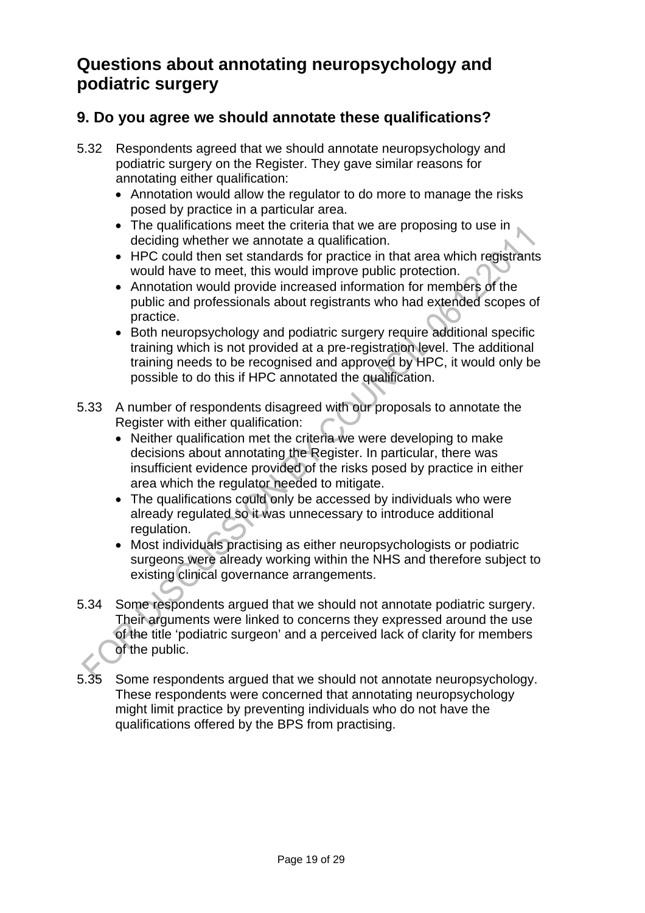## **Questions about annotating neuropsychology and podiatric surgery**

#### **9. Do you agree we should annotate these qualifications?**

- 5.32 Respondents agreed that we should annotate neuropsychology and podiatric surgery on the Register. They gave similar reasons for annotating either qualification:
	- Annotation would allow the regulator to do more to manage the risks posed by practice in a particular area.
	- The qualifications meet the criteria that we are proposing to use in deciding whether we annotate a qualification.
	- HPC could then set standards for practice in that area which registrants would have to meet, this would improve public protection.
	- Annotation would provide increased information for members of the public and professionals about registrants who had extended scopes of practice.
	- Both neuropsychology and podiatric surgery require additional specific training which is not provided at a pre-registration level. The additional training needs to be recognised and approved by HPC, it would only be possible to do this if HPC annotated the qualification.
- 5.33 A number of respondents disagreed with our proposals to annotate the Register with either qualification:
	- Neither qualification met the criteria we were developing to make decisions about annotating the Register. In particular, there was insufficient evidence provided of the risks posed by practice in either area which the regulator needed to mitigate.
	- The qualifications could only be accessed by individuals who were already regulated so it was unnecessary to introduce additional regulation.
	- Most individuals practising as either neuropsychologists or podiatric surgeons were already working within the NHS and therefore subject to existing clinical governance arrangements.
- 5.34 Some respondents argued that we should not annotate podiatric surgery. Their arguments were linked to concerns they expressed around the use of the title 'podiatric surgeon' and a perceived lack of clarity for members of the public.
- 5.35 Some respondents argued that we should not annotate neuropsychology. These respondents were concerned that annotating neuropsychology might limit practice by preventing individuals who do not have the qualifications offered by the BPS from practising.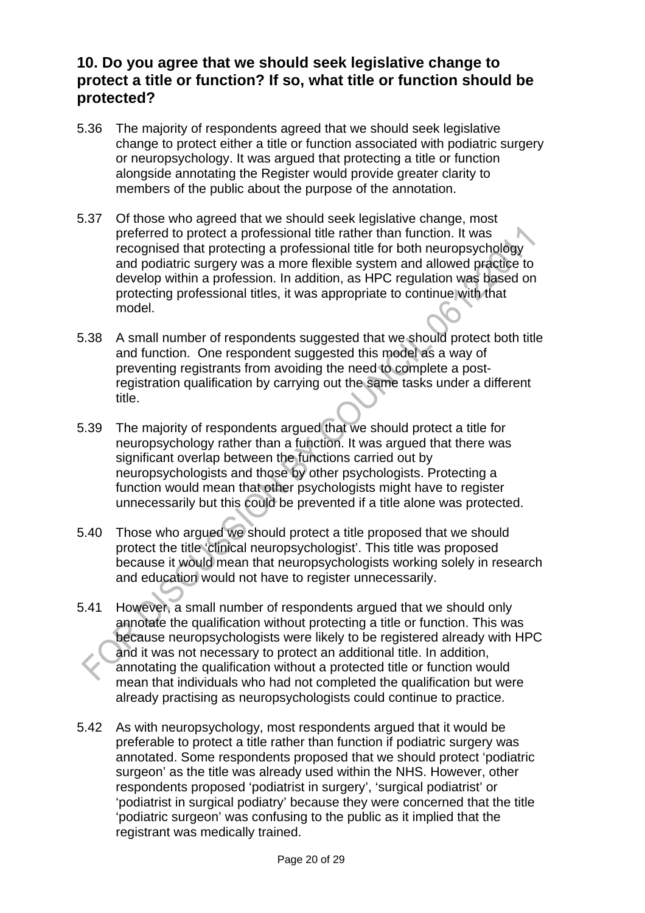#### **10. Do you agree that we should seek legislative change to protect a title or function? If so, what title or function should be protected?**

- 5.36 The majority of respondents agreed that we should seek legislative change to protect either a title or function associated with podiatric surgery or neuropsychology. It was argued that protecting a title or function alongside annotating the Register would provide greater clarity to members of the public about the purpose of the annotation.
- 5.37 Of those who agreed that we should seek legislative change, most preferred to protect a professional title rather than function. It was recognised that protecting a professional title for both neuropsychology and podiatric surgery was a more flexible system and allowed practice to develop within a profession. In addition, as HPC regulation was based on protecting professional titles, it was appropriate to continue with that model.
- 5.38 A small number of respondents suggested that we should protect both title and function. One respondent suggested this model as a way of preventing registrants from avoiding the need to complete a postregistration qualification by carrying out the same tasks under a different title.
- 5.39 The majority of respondents argued that we should protect a title for neuropsychology rather than a function. It was argued that there was significant overlap between the functions carried out by neuropsychologists and those by other psychologists. Protecting a function would mean that other psychologists might have to register unnecessarily but this could be prevented if a title alone was protected.
- 5.40 Those who argued we should protect a title proposed that we should protect the title 'clinical neuropsychologist'. This title was proposed because it would mean that neuropsychologists working solely in research and education would not have to register unnecessarily.
- 5.41 However, a small number of respondents argued that we should only annotate the qualification without protecting a title or function. This was because neuropsychologists were likely to be registered already with HPC and it was not necessary to protect an additional title. In addition, annotating the qualification without a protected title or function would mean that individuals who had not completed the qualification but were already practising as neuropsychologists could continue to practice.
- 5.42 As with neuropsychology, most respondents argued that it would be preferable to protect a title rather than function if podiatric surgery was annotated. Some respondents proposed that we should protect 'podiatric surgeon' as the title was already used within the NHS. However, other respondents proposed 'podiatrist in surgery', 'surgical podiatrist' or 'podiatrist in surgical podiatry' because they were concerned that the title 'podiatric surgeon' was confusing to the public as it implied that the registrant was medically trained.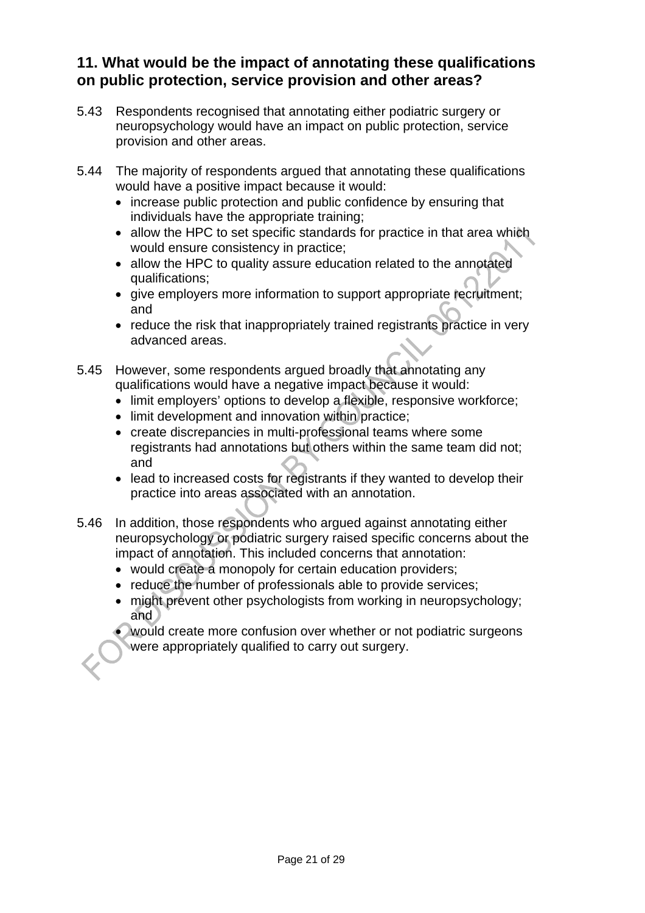#### **11. What would be the impact of annotating these qualifications on public protection, service provision and other areas?**

- 5.43 Respondents recognised that annotating either podiatric surgery or neuropsychology would have an impact on public protection, service provision and other areas.
- 5.44 The majority of respondents argued that annotating these qualifications would have a positive impact because it would:
	- increase public protection and public confidence by ensuring that individuals have the appropriate training;
	- allow the HPC to set specific standards for practice in that area which would ensure consistency in practice;
	- allow the HPC to quality assure education related to the annotated qualifications;
	- give employers more information to support appropriate recruitment; and
	- reduce the risk that inappropriately trained registrants practice in very advanced areas.
- 5.45 However, some respondents argued broadly that annotating any qualifications would have a negative impact because it would:
	- limit employers' options to develop a flexible, responsive workforce;
	- limit development and innovation within practice;
	- create discrepancies in multi-professional teams where some registrants had annotations but others within the same team did not; and
	- lead to increased costs for registrants if they wanted to develop their practice into areas associated with an annotation.
- 5.46 In addition, those respondents who argued against annotating either neuropsychology or podiatric surgery raised specific concerns about the impact of annotation. This included concerns that annotation:
	- would create a monopoly for certain education providers;
	- reduce the number of professionals able to provide services;
	- might prevent other psychologists from working in neuropsychology; and
	- would create more confusion over whether or not podiatric surgeons were appropriately qualified to carry out surgery.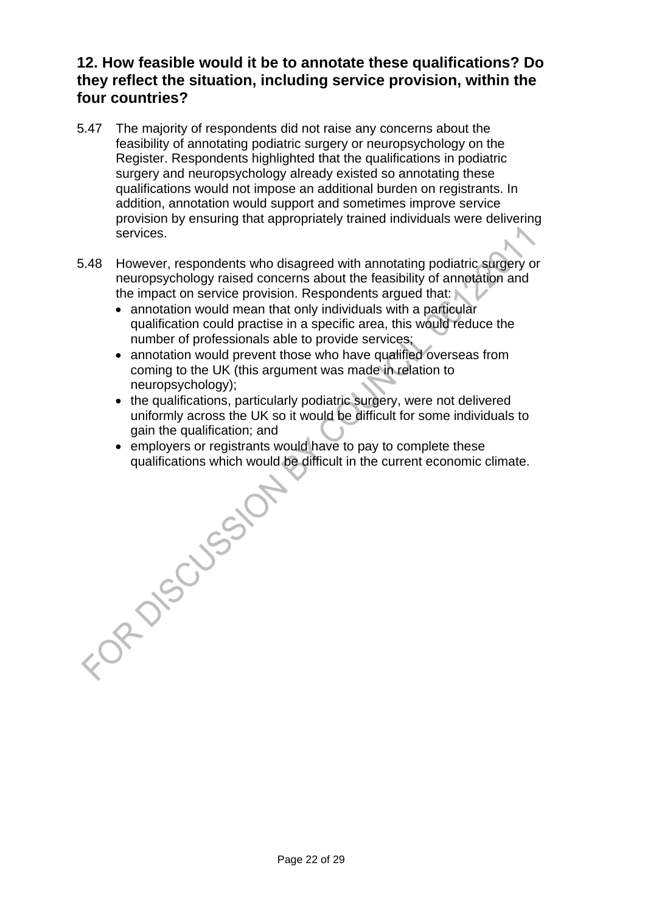#### **12. How feasible would it be to annotate these qualifications? Do they reflect the situation, including service provision, within the four countries?**

- 5.47 The majority of respondents did not raise any concerns about the feasibility of annotating podiatric surgery or neuropsychology on the Register. Respondents highlighted that the qualifications in podiatric surgery and neuropsychology already existed so annotating these qualifications would not impose an additional burden on registrants. In addition, annotation would support and sometimes improve service provision by ensuring that appropriately trained individuals were delivering services.
- 5.48 However, respondents who disagreed with annotating podiatric surgery or neuropsychology raised concerns about the feasibility of annotation and the impact on service provision. Respondents argued that:
	- annotation would mean that only individuals with a particular qualification could practise in a specific area, this would reduce the number of professionals able to provide services;
	- annotation would prevent those who have qualified overseas from coming to the UK (this argument was made in relation to neuropsychology);
	- the qualifications, particularly podiatric surgery, were not delivered uniformly across the UK so it would be difficult for some individuals to gain the qualification; and
- employers or registrants would have to pay to complete these qualifications which would be difficult in the current economic or<br>
and the difficult in the current economic or<br>
and the current economic or<br>
and the current qualifications which would be difficult in the current economic climate.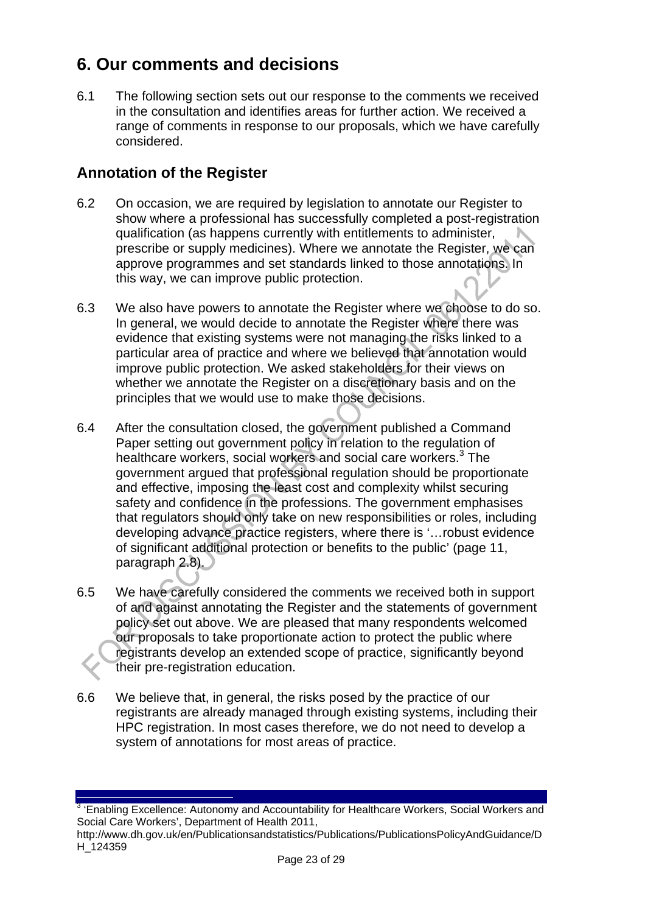## **6. Our comments and decisions**

6.1 The following section sets out our response to the comments we received in the consultation and identifies areas for further action. We received a range of comments in response to our proposals, which we have carefully considered.

#### **Annotation of the Register**

- 6.2 On occasion, we are required by legislation to annotate our Register to show where a professional has successfully completed a post-registration qualification (as happens currently with entitlements to administer, prescribe or supply medicines). Where we annotate the Register, we can approve programmes and set standards linked to those annotations. In this way, we can improve public protection.
- 6.3 We also have powers to annotate the Register where we choose to do so. In general, we would decide to annotate the Register where there was evidence that existing systems were not managing the risks linked to a particular area of practice and where we believed that annotation would improve public protection. We asked stakeholders for their views on whether we annotate the Register on a discretionary basis and on the principles that we would use to make those decisions.
- 6.4 After the consultation closed, the government published a Command Paper setting out government policy in relation to the regulation of healthcare workers, social workers and social care workers.<sup>3</sup> The government argued that professional regulation should be proportionate and effective, imposing the least cost and complexity whilst securing safety and confidence in the professions. The government emphasises that regulators should only take on new responsibilities or roles, including developing advance practice registers, where there is '…robust evidence of significant additional protection or benefits to the public' (page 11, paragraph 2.8).
- 6.5 We have carefully considered the comments we received both in support of and against annotating the Register and the statements of government policy set out above. We are pleased that many respondents welcomed our proposals to take proportionate action to protect the public where registrants develop an extended scope of practice, significantly beyond their pre-registration education.
- 6.6 We believe that, in general, the risks posed by the practice of our registrants are already managed through existing systems, including their HPC registration. In most cases therefore, we do not need to develop a system of annotations for most areas of practice.

i<br>I <sup>3</sup> 'Enabling Excellence: Autonomy and Accountability for Healthcare Workers, Social Workers and Social Care Workers', Department of Health 2011,

http://www.dh.gov.uk/en/Publicationsandstatistics/Publications/PublicationsPolicyAndGuidance/D H\_124359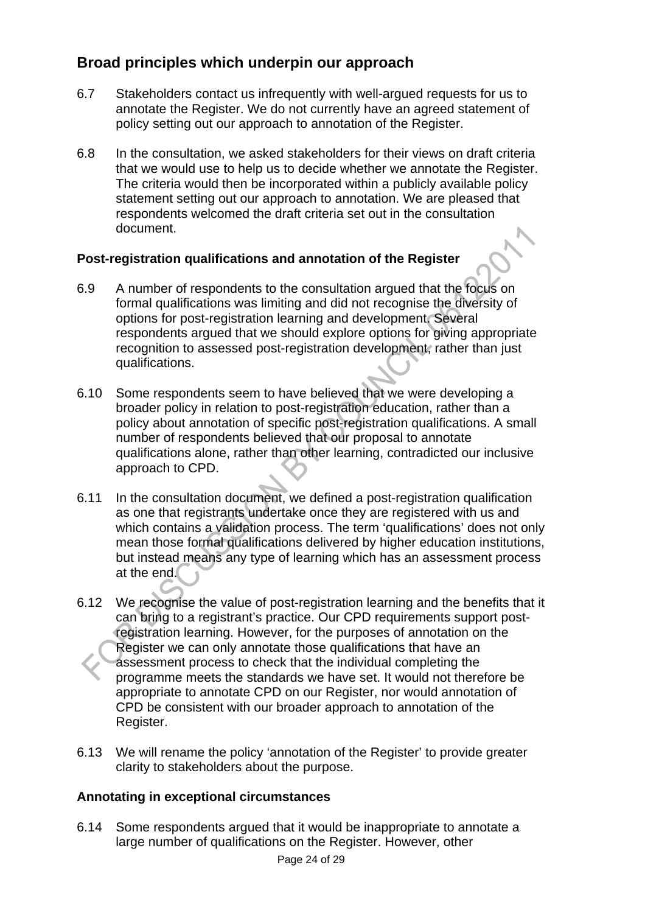#### **Broad principles which underpin our approach**

- 6.7 Stakeholders contact us infrequently with well-argued requests for us to annotate the Register. We do not currently have an agreed statement of policy setting out our approach to annotation of the Register.
- 6.8 In the consultation, we asked stakeholders for their views on draft criteria that we would use to help us to decide whether we annotate the Register. The criteria would then be incorporated within a publicly available policy statement setting out our approach to annotation. We are pleased that respondents welcomed the draft criteria set out in the consultation document.

#### **Post-registration qualifications and annotation of the Register**

- 6.9 A number of respondents to the consultation argued that the focus on formal qualifications was limiting and did not recognise the diversity of options for post-registration learning and development. Several respondents argued that we should explore options for giving appropriate recognition to assessed post-registration development, rather than just qualifications.
- 6.10 Some respondents seem to have believed that we were developing a broader policy in relation to post-registration education, rather than a policy about annotation of specific post-registration qualifications. A small number of respondents believed that our proposal to annotate qualifications alone, rather than other learning, contradicted our inclusive approach to CPD.
- 6.11 In the consultation document, we defined a post-registration qualification as one that registrants undertake once they are registered with us and which contains a validation process. The term 'qualifications' does not only mean those formal qualifications delivered by higher education institutions, but instead means any type of learning which has an assessment process at the end.
- 6.12 We recognise the value of post-registration learning and the benefits that it can bring to a registrant's practice. Our CPD requirements support postregistration learning. However, for the purposes of annotation on the Register we can only annotate those qualifications that have an assessment process to check that the individual completing the programme meets the standards we have set. It would not therefore be appropriate to annotate CPD on our Register, nor would annotation of CPD be consistent with our broader approach to annotation of the Register.
- 6.13 We will rename the policy 'annotation of the Register' to provide greater clarity to stakeholders about the purpose.

#### **Annotating in exceptional circumstances**

6.14 Some respondents argued that it would be inappropriate to annotate a large number of qualifications on the Register. However, other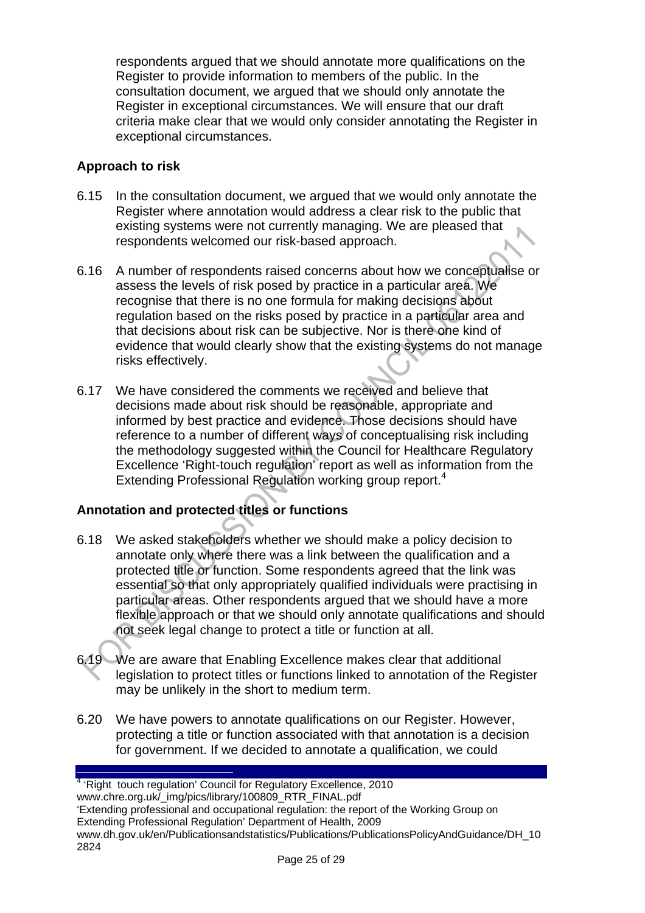respondents argued that we should annotate more qualifications on the Register to provide information to members of the public. In the consultation document, we argued that we should only annotate the Register in exceptional circumstances. We will ensure that our draft criteria make clear that we would only consider annotating the Register in exceptional circumstances.

#### **Approach to risk**

- 6.15 In the consultation document, we argued that we would only annotate the Register where annotation would address a clear risk to the public that existing systems were not currently managing. We are pleased that respondents welcomed our risk-based approach.
- 6.16 A number of respondents raised concerns about how we conceptualise or assess the levels of risk posed by practice in a particular area. We recognise that there is no one formula for making decisions about regulation based on the risks posed by practice in a particular area and that decisions about risk can be subjective. Nor is there one kind of evidence that would clearly show that the existing systems do not manage risks effectively.
- 6.17 We have considered the comments we received and believe that decisions made about risk should be reasonable, appropriate and informed by best practice and evidence. Those decisions should have reference to a number of different ways of conceptualising risk including the methodology suggested within the Council for Healthcare Regulatory Excellence 'Right-touch regulation' report as well as information from the Extending Professional Regulation working group report.<sup>4</sup>

#### **Annotation and protected titles or functions**

- 6.18 We asked stakeholders whether we should make a policy decision to annotate only where there was a link between the qualification and a protected title or function. Some respondents agreed that the link was essential so that only appropriately qualified individuals were practising in particular areas. Other respondents argued that we should have a more flexible approach or that we should only annotate qualifications and should not seek legal change to protect a title or function at all.
- 6.19 We are aware that Enabling Excellence makes clear that additional legislation to protect titles or functions linked to annotation of the Register may be unlikely in the short to medium term.
- 6.20 We have powers to annotate qualifications on our Register. However, protecting a title or function associated with that annotation is a decision for government. If we decided to annotate a qualification, we could

 4 'Right touch regulation' Council for Regulatory Excellence, 2010 www.chre.org.uk/\_img/pics/library/100809\_RTR\_FINAL.pdf 'Extending professional and occupational regulation: the report of the Working Group on Extending Professional Regulation' Department of Health, 2009 www.dh.gov.uk/en/Publicationsandstatistics/Publications/PublicationsPolicyAndGuidance/DH\_10 2824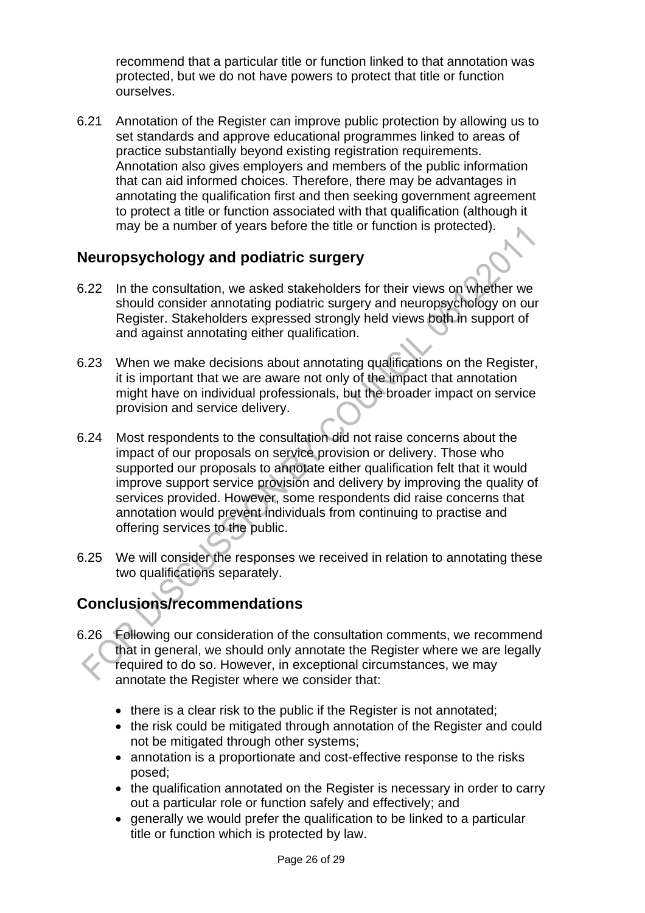recommend that a particular title or function linked to that annotation was protected, but we do not have powers to protect that title or function ourselves.

6.21 Annotation of the Register can improve public protection by allowing us to set standards and approve educational programmes linked to areas of practice substantially beyond existing registration requirements. Annotation also gives employers and members of the public information that can aid informed choices. Therefore, there may be advantages in annotating the qualification first and then seeking government agreement to protect a title or function associated with that qualification (although it may be a number of years before the title or function is protected).

#### **Neuropsychology and podiatric surgery**

- 6.22 In the consultation, we asked stakeholders for their views on whether we should consider annotating podiatric surgery and neuropsychology on our Register. Stakeholders expressed strongly held views both in support of and against annotating either qualification.
- 6.23 When we make decisions about annotating qualifications on the Register, it is important that we are aware not only of the impact that annotation might have on individual professionals, but the broader impact on service provision and service delivery.
- 6.24 Most respondents to the consultation did not raise concerns about the impact of our proposals on service provision or delivery. Those who supported our proposals to annotate either qualification felt that it would improve support service provision and delivery by improving the quality of services provided. However, some respondents did raise concerns that annotation would prevent individuals from continuing to practise and offering services to the public.
- 6.25 We will consider the responses we received in relation to annotating these two qualifications separately.

## **Conclusions/recommendations**

- 6.26 Following our consideration of the consultation comments, we recommend that in general, we should only annotate the Register where we are legally required to do so. However, in exceptional circumstances, we may annotate the Register where we consider that:
	- there is a clear risk to the public if the Register is not annotated;
	- the risk could be mitigated through annotation of the Register and could not be mitigated through other systems;
	- annotation is a proportionate and cost-effective response to the risks posed;
	- the qualification annotated on the Register is necessary in order to carry out a particular role or function safely and effectively; and
	- generally we would prefer the qualification to be linked to a particular title or function which is protected by law.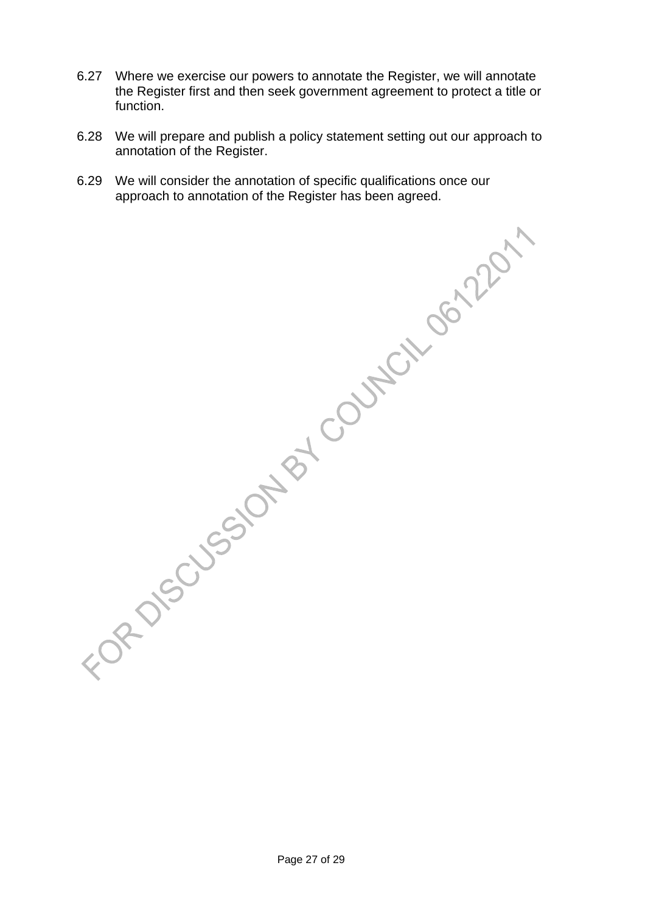- 6.27 Where we exercise our powers to annotate the Register, we will annotate the Register first and then seek government agreement to protect a title or function.
- 6.28 We will prepare and publish a policy statement setting out our approach to annotation of the Register.
- 6.29 We will consider the annotation of specific qualifications once our approach to annotation of the Register has been agreed.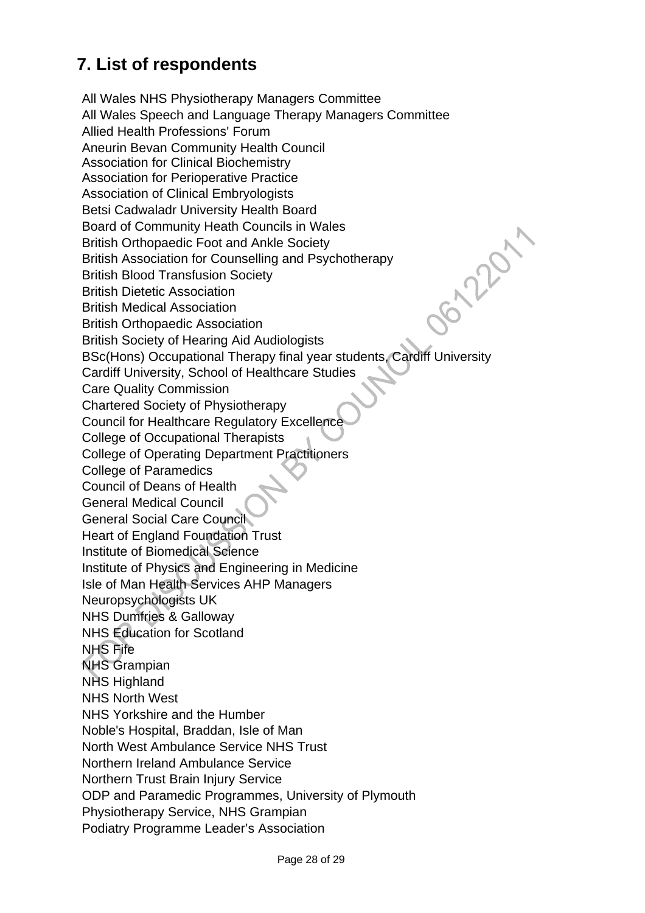## **7. List of respondents**

All Wales NHS Physiotherapy Managers Committee All Wales Speech and Language Therapy Managers Committee Allied Health Professions' Forum Aneurin Bevan Community Health Council Association for Clinical Biochemistry Association for Perioperative Practice Association of Clinical Embryologists Betsi Cadwaladr University Health Board Jonier, Board of Community Heath Councils in Wales British Orthopaedic Foot and Ankle Society British Association for Counselling and Psychotherapy British Blood Transfusion Society British Dietetic Association British Medical Association British Orthopaedic Association British Society of Hearing Aid Audiologists BSc(Hons) Occupational Therapy final year students, Cardiff University Cardiff University, School of Healthcare Studies Care Quality Commission Chartered Society of Physiotherapy Council for Healthcare Regulatory Excellence College of Occupational Therapists College of Operating Department Practitioners College of Paramedics Council of Deans of Health General Medical Council General Social Care Council Heart of England Foundation Trust Institute of Biomedical Science Institute of Physics and Engineering in Medicine Isle of Man Health Services AHP Managers Neuropsychologists UK NHS Dumfries & Galloway NHS Education for Scotland NHS Fife NHS Grampian NHS Highland NHS North West NHS Yorkshire and the Humber Noble's Hospital, Braddan, Isle of Man North West Ambulance Service NHS Trust Northern Ireland Ambulance Service Northern Trust Brain Injury Service ODP and Paramedic Programmes, University of Plymouth Physiotherapy Service, NHS Grampian Podiatry Programme Leader's Association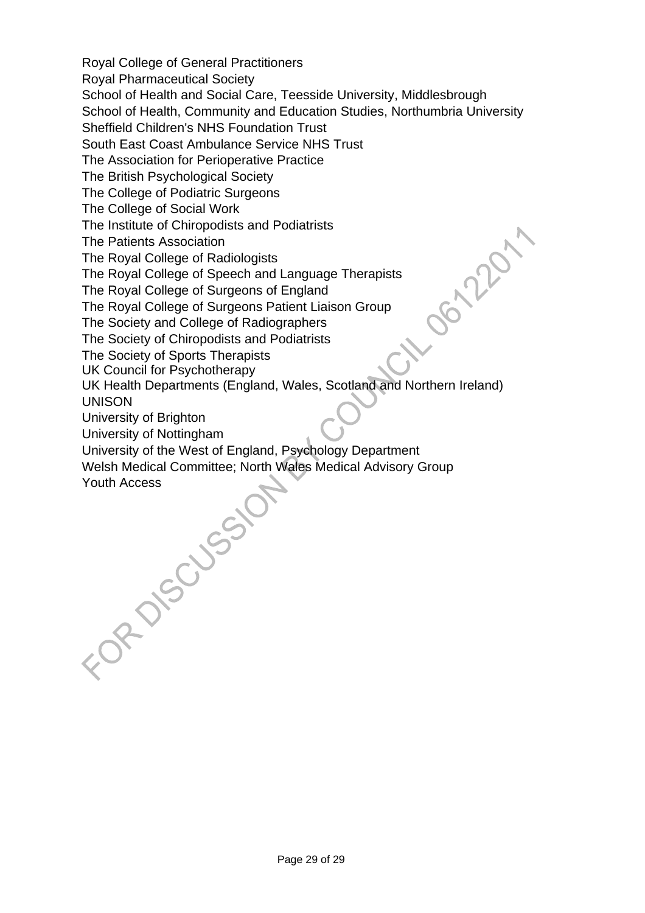Royal College of General Practitioners

Royal Pharmaceutical Society

School of Health and Social Care, Teesside University, Middlesbrough

School of Health, Community and Education Studies, Northumbria University

Sheffield Children's NHS Foundation Trust

South East Coast Ambulance Service NHS Trust

The Association for Perioperative Practice

The British Psychological Society

The College of Podiatric Surgeons

The College of Social Work

The Institute of Chiropodists and Podiatrists

The Patients Association

The Royal College of Radiologists

The Royal College of Speech and Language Therapists

The Royal College of Surgeons of England

The Royal College of Surgeons Patient Liaison Group

The Society and College of Radiographers

The Society of Chiropodists and Podiatrists

The Society of Sports Therapists

UK Council for Psychotherapy

UK Health Departments (England, Wales, Scotland and Northern Ireland) UNISON

Control

University of Brighton

University of Nottingham

University of the West of England, Psychology Department

Welsh Medical Committee; North Wales Medical Advisory Group To Roccussion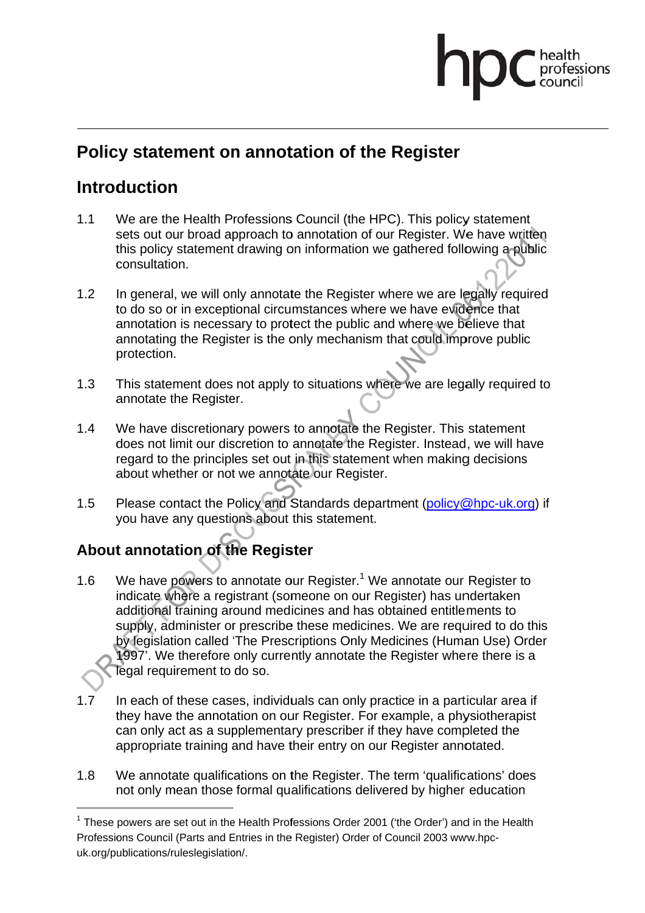## professions

## **Policy statement on annotation of the Register**

## **ntroduction**

- $1.1$ sets out our broad approach to annotation of our Register. We have written this policy statement drawing on information we gathered following a public consultation. We are the Health Professions Council (the HPC). This policy statement
- 1.2 to do so or in exceptional circumstances where we have evidence that annotation is necessary to protect the public and where we believe that annotation is necessary to protect the public and where we believe that<br>annotating the Register is the only mechanism that could improve public In general, we will only annotate the Register where we are legally required protection.
- $1.3$ annotate the Register. protection.<br>This statement does not apply to situations where we are legally required to
- $1.4$ does not limit our discretion to annotate the Register. Instead, we will have about whether or not we annotate our Register. We have discretionary powers to annotate the Register. This statement regard to the principles set out in this statement when making decisions regard to the principles set out in this statement when making decisions<br>about whether or not we annotate our Register.<br>Please contact the Policy and Standards department (policy@hpc-uk.org) if
- 1.5 you have any questions about this statement.

## About annotation of the Register

1

l

l

- $1.6$ additional training around medicines and has obtained entitlements to We have powers to annotate our Register.<sup>1</sup> We annotate our Register to<br>indicate where a registrant (someone on our Register) has undertaken<br>additional training around medicines and has obtained entitlements to<br>supply, adm We have powers to annotate our Register.<sup>1</sup> We annotate our Register to indicate where a registrant (someone on our Register) has undertaken by legislation called 'The Prescriptions Only Medicines (Human Use) Order 1997'. We therefore only currently annotate the Register where there is a legal requirement to do so.
- 1.7 they have the annotation on our Register. For example, a physiotherapist can only act as a supplementary prescriber if they have completed the appropriate training and have their entry on our Register annotated. In each of these cases, individuals can only practice in a particular area if
- 1.8 W We annotate qualifications on the Register. The term 'qualifications' does not only mean those formal qualifications delivered by higher education

<sup>&</sup>lt;sup>1</sup> These powers are set out in the Health Professions Order 2001 ('the Order') and in the Health Professions Council (Parts and Entries in the Register) Order of Council 2003 www.hpcuk.org/publications/ruleslegislation/.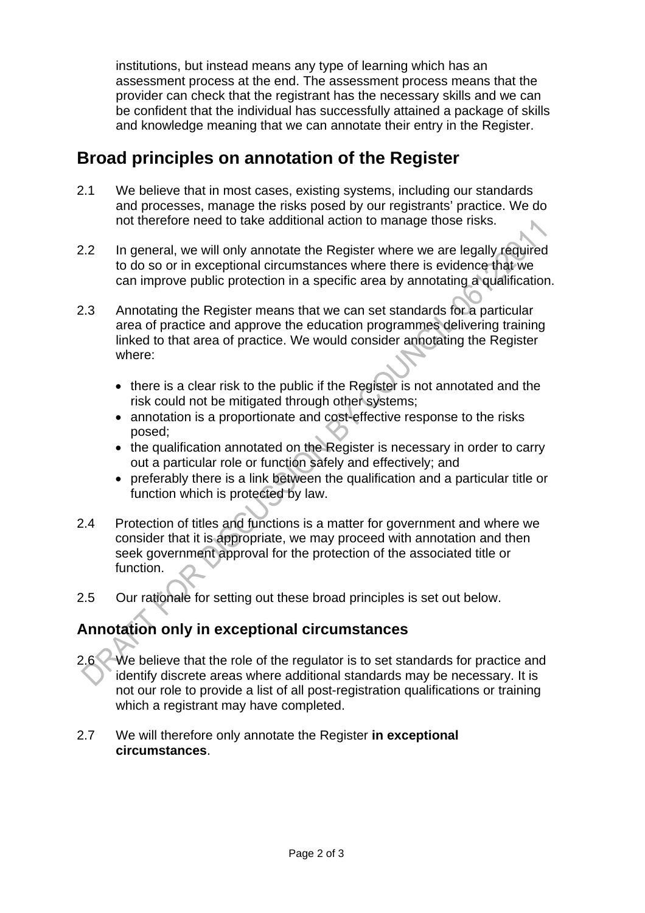institutions, but instead means any type of learning which has an assessment process at the end. The assessment process means that the provider can check that the registrant has the necessary skills and we can be confident that the individual has successfully attained a package of skills and knowledge meaning that we can annotate their entry in the Register.

## **Broad principles on annotation of the Register**

- 2.1 We believe that in most cases, existing systems, including our standards and processes, manage the risks posed by our registrants' practice. We do not therefore need to take additional action to manage those risks.
- 2.2 In general, we will only annotate the Register where we are legally required to do so or in exceptional circumstances where there is evidence that we can improve public protection in a specific area by annotating a qualification.
- 2.3 Annotating the Register means that we can set standards for a particular area of practice and approve the education programmes delivering training linked to that area of practice. We would consider annotating the Register where:
	- there is a clear risk to the public if the Register is not annotated and the risk could not be mitigated through other systems;
	- annotation is a proportionate and cost-effective response to the risks posed;
	- the qualification annotated on the Register is necessary in order to carry out a particular role or function safely and effectively; and
	- preferably there is a link between the qualification and a particular title or function which is protected by law.
- 2.4 Protection of titles and functions is a matter for government and where we consider that it is appropriate, we may proceed with annotation and then seek government approval for the protection of the associated title or function.
- 2.5 Our rationale for setting out these broad principles is set out below.

## **Annotation only in exceptional circumstances**

- 2.6 We believe that the role of the regulator is to set standards for practice and identify discrete areas where additional standards may be necessary. It is not our role to provide a list of all post-registration qualifications or training which a registrant may have completed.
- 2.7 We will therefore only annotate the Register **in exceptional circumstances**.